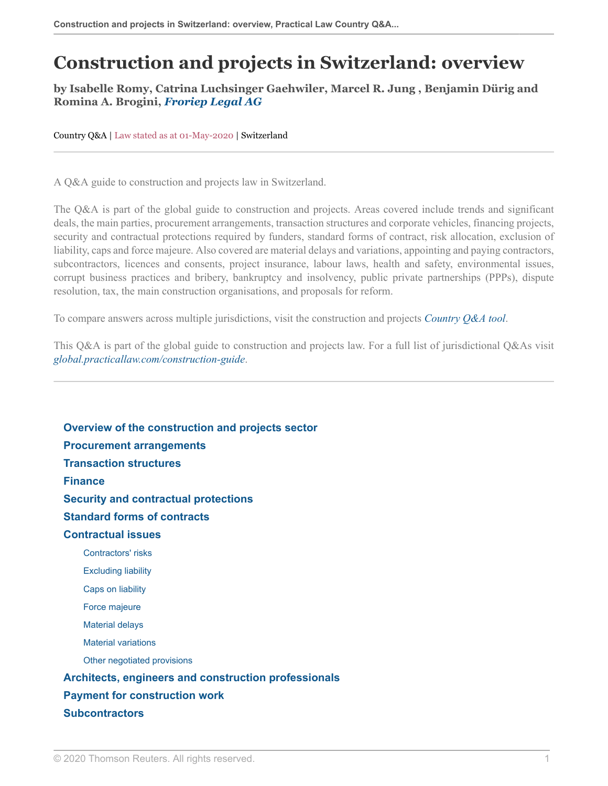# **Construction and projects in Switzerland: overview**

### **by Isabelle Romy, Catrina Luchsinger Gaehwiler, Marcel R. Jung , Benjamin Dürig and Romina A. Brogini,** *[Froriep Legal AG](https://uk.practicallaw.thomsonreuters.com/Browse/Home/About/Contributor/froriep?navId=35007DECAFE71FE35260218D503EB1B0&comp=pluk&transitionType=Default&contextData=(sc.Default) )*

Country Q&A | Law stated as at 01-May-2020 | Switzerland

A Q&A guide to construction and projects law in Switzerland.

The Q&A is part of the global guide to construction and projects. Areas covered include trends and significant deals, the main parties, procurement arrangements, transaction structures and corporate vehicles, financing projects, security and contractual protections required by funders, standard forms of contract, risk allocation, exclusion of liability, caps and force majeure. Also covered are material delays and variations, appointing and paying contractors, subcontractors, licences and consents, project insurance, labour laws, health and safety, environmental issues, corrupt business practices and bribery, bankruptcy and insolvency, public private partnerships (PPPs), dispute resolution, tax, the main construction organisations, and proposals for reform.

To compare answers across multiple jurisdictions, visit the construction and projects *[Country Q&A tool](https://uk.practicallaw.thomsonreuters.com/QACompare/Builder/Country )*.

This Q&A is part of the global guide to construction and projects law. For a full list of jurisdictional Q&As visit *[global.practicallaw.com/construction-guide](https://uk.practicallaw.thomsonreuters.com/Browse/Home/International/ConstructionandProjectsGlobalGuide )*.

**[Overview of the construction and projects sector](#page-1-0) [Procurement arrangements](#page-3-0) [Transaction structures](#page-4-0) [Finance](#page-5-0) [Security and contractual protections](#page-5-1) [Standard forms of contracts](#page-6-0) [Contractual issues](#page-6-1)** [Contractors' risks](#page-7-0) [Excluding liability](#page-7-1) [Caps on liability](#page-8-0) [Force majeure](#page-8-1) [Material delays](#page-8-2) [Material variations](#page-9-0) [Other negotiated provisions](#page-10-0) **[Architects, engineers and construction professionals](#page-10-1) [Payment for construction work](#page-11-0) [Subcontractors](#page-12-0)**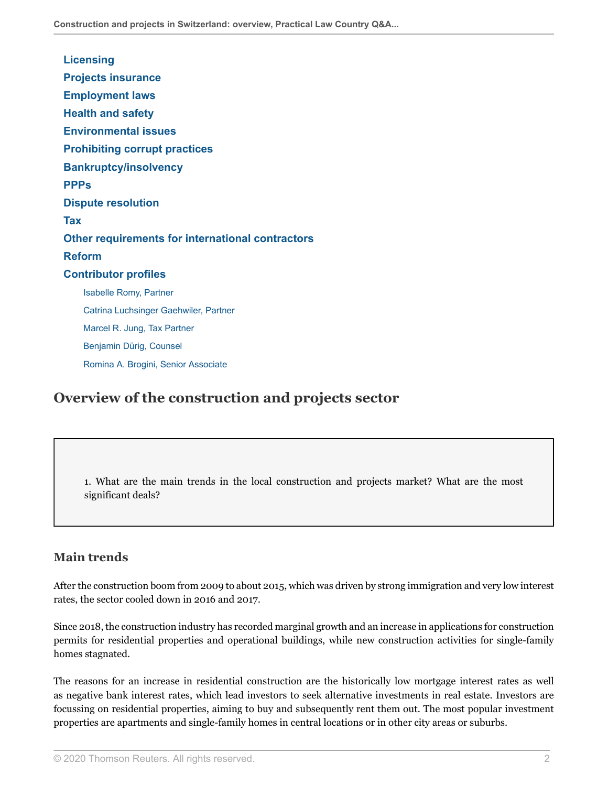| <b>Licensing</b>                                        |
|---------------------------------------------------------|
| <b>Projects insurance</b>                               |
| <b>Employment laws</b>                                  |
| <b>Health and safety</b>                                |
| <b>Environmental issues</b>                             |
| <b>Prohibiting corrupt practices</b>                    |
| <b>Bankruptcy/insolvency</b>                            |
| <b>PPPs</b>                                             |
| <b>Dispute resolution</b>                               |
| <b>Tax</b>                                              |
| <b>Other requirements for international contractors</b> |
| <b>Reform</b>                                           |
| <b>Contributor profiles</b>                             |
| <b>Isabelle Romy, Partner</b>                           |
| Catrina Luchsinger Gaehwiler, Partner                   |
| Marcel R. Jung, Tax Partner                             |
| Benjamin Dürig, Counsel                                 |
| Romina A. Brogini, Senior Associate                     |

## <span id="page-1-0"></span>**Overview of the construction and projects sector**

<span id="page-1-1"></span>1. What are the main trends in the local construction and projects market? What are the most significant deals?

### **Main trends**

After the construction boom from 2009 to about 2015, which was driven by strong immigration and very low interest rates, the sector cooled down in 2016 and 2017.

Since 2018, the construction industry has recorded marginal growth and an increase in applications for construction permits for residential properties and operational buildings, while new construction activities for single-family homes stagnated.

The reasons for an increase in residential construction are the historically low mortgage interest rates as well as negative bank interest rates, which lead investors to seek alternative investments in real estate. Investors are focussing on residential properties, aiming to buy and subsequently rent them out. The most popular investment properties are apartments and single-family homes in central locations or in other city areas or suburbs.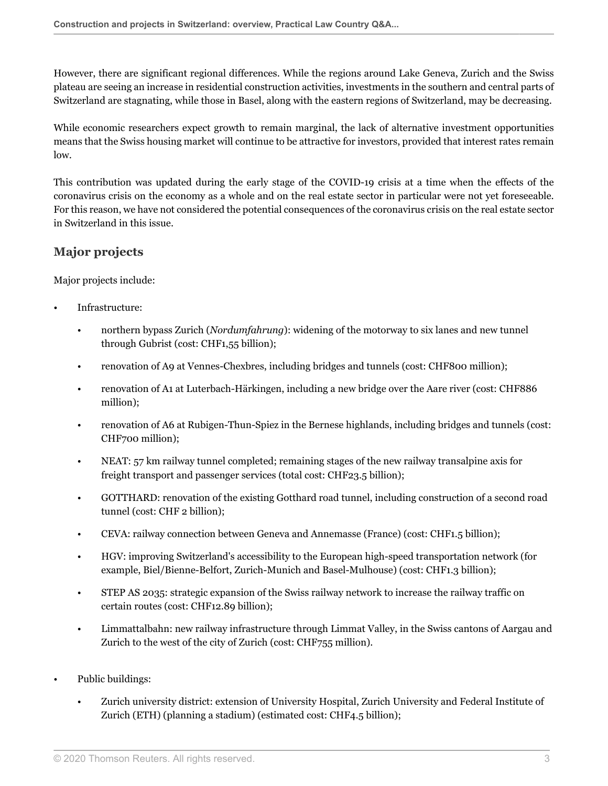However, there are significant regional differences. While the regions around Lake Geneva, Zurich and the Swiss plateau are seeing an increase in residential construction activities, investments in the southern and central parts of Switzerland are stagnating, while those in Basel, along with the eastern regions of Switzerland, may be decreasing.

While economic researchers expect growth to remain marginal, the lack of alternative investment opportunities means that the Swiss housing market will continue to be attractive for investors, provided that interest rates remain low.

This contribution was updated during the early stage of the COVID-19 crisis at a time when the effects of the coronavirus crisis on the economy as a whole and on the real estate sector in particular were not yet foreseeable. For this reason, we have not considered the potential consequences of the coronavirus crisis on the real estate sector in Switzerland in this issue.

## **Major projects**

Major projects include:

- Infrastructure:
	- northern bypass Zurich (*Nordumfahrung*): widening of the motorway to six lanes and new tunnel through Gubrist (cost: CHF1,55 billion);
	- renovation of A9 at Vennes-Chexbres, including bridges and tunnels (cost: CHF800 million);
	- renovation of A1 at Luterbach-Härkingen, including a new bridge over the Aare river (cost: CHF886 million);
	- renovation of A6 at Rubigen-Thun-Spiez in the Bernese highlands, including bridges and tunnels (cost: CHF700 million);
	- NEAT: 57 km railway tunnel completed; remaining stages of the new railway transalpine axis for freight transport and passenger services (total cost: CHF23.5 billion);
	- GOTTHARD: renovation of the existing Gotthard road tunnel, including construction of a second road tunnel (cost: CHF 2 billion);
	- CEVA: railway connection between Geneva and Annemasse (France) (cost: CHF1.5 billion);
	- HGV: improving Switzerland's accessibility to the European high-speed transportation network (for example, Biel/Bienne-Belfort, Zurich-Munich and Basel-Mulhouse) (cost: CHF1.3 billion);
	- STEP AS 2035: strategic expansion of the Swiss railway network to increase the railway traffic on certain routes (cost: CHF12.89 billion);
	- Limmattalbahn: new railway infrastructure through Limmat Valley, in the Swiss cantons of Aargau and Zurich to the west of the city of Zurich (cost: CHF755 million).
- Public buildings:
	- Zurich university district: extension of University Hospital, Zurich University and Federal Institute of Zurich (ETH) (planning a stadium) (estimated cost: CHF4.5 billion);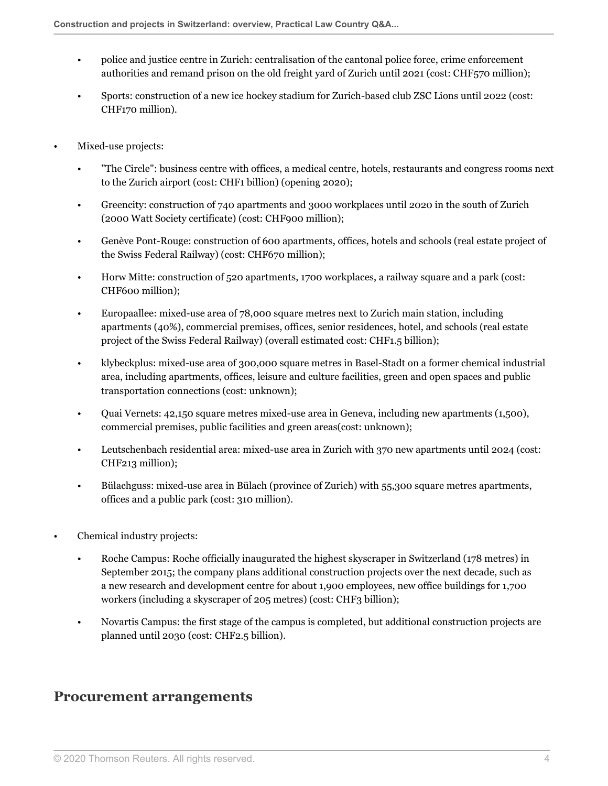- police and justice centre in Zurich: centralisation of the cantonal police force, crime enforcement authorities and remand prison on the old freight yard of Zurich until 2021 (cost: CHF570 million);
- Sports: construction of a new ice hockey stadium for Zurich-based club ZSC Lions until 2022 (cost: CHF170 million).
- Mixed-use projects:
	- "The Circle": business centre with offices, a medical centre, hotels, restaurants and congress rooms next to the Zurich airport (cost: CHF1 billion) (opening 2020);
	- Greencity: construction of 740 apartments and 3000 workplaces until 2020 in the south of Zurich (2000 Watt Society certificate) (cost: CHF900 million);
	- Genève Pont-Rouge: construction of 600 apartments, offices, hotels and schools (real estate project of the Swiss Federal Railway) (cost: CHF670 million);
	- Horw Mitte: construction of 520 apartments, 1700 workplaces, a railway square and a park (cost: CHF600 million);
	- Europaallee: mixed-use area of 78,000 square metres next to Zurich main station, including apartments (40%), commercial premises, offices, senior residences, hotel, and schools (real estate project of the Swiss Federal Railway) (overall estimated cost: CHF1.5 billion);
	- klybeckplus: mixed-use area of 300,000 square metres in Basel-Stadt on a former chemical industrial area, including apartments, offices, leisure and culture facilities, green and open spaces and public transportation connections (cost: unknown);
	- Quai Vernets: 42,150 square metres mixed-use area in Geneva, including new apartments (1,500), commercial premises, public facilities and green areas(cost: unknown);
	- Leutschenbach residential area: mixed-use area in Zurich with 370 new apartments until 2024 (cost: CHF213 million);
	- Bülachguss: mixed-use area in Bülach (province of Zurich) with 55,300 square metres apartments, offices and a public park (cost: 310 million).
- Chemical industry projects:
	- Roche Campus: Roche officially inaugurated the highest skyscraper in Switzerland (178 metres) in September 2015; the company plans additional construction projects over the next decade, such as a new research and development centre for about 1,900 employees, new office buildings for 1,700 workers (including a skyscraper of 205 metres) (cost: CHF3 billion);
	- Novartis Campus: the first stage of the campus is completed, but additional construction projects are planned until 2030 (cost: CHF2.5 billion).

## <span id="page-3-0"></span>**Procurement arrangements**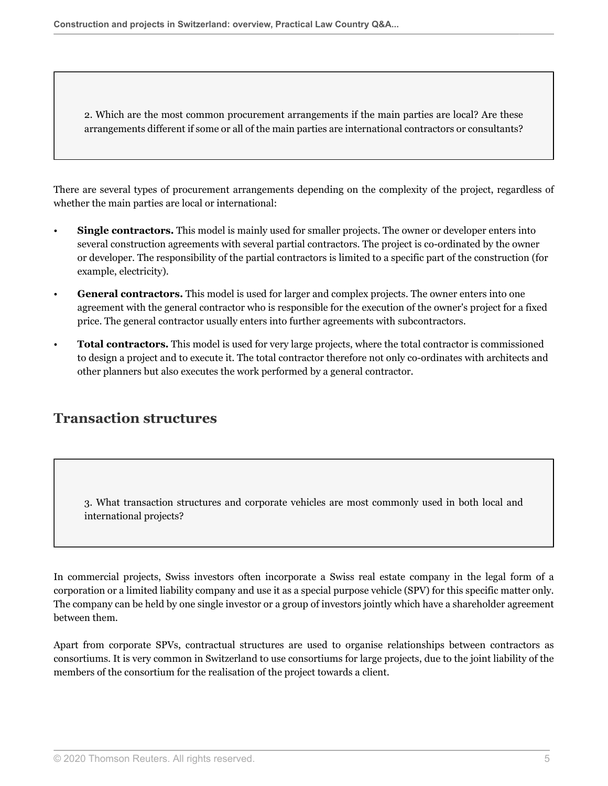2. Which are the most common procurement arrangements if the main parties are local? Are these arrangements different if some or all of the main parties are international contractors or consultants?

There are several types of procurement arrangements depending on the complexity of the project, regardless of whether the main parties are local or international:

- **Single contractors.** This model is mainly used for smaller projects. The owner or developer enters into several construction agreements with several partial contractors. The project is co-ordinated by the owner or developer. The responsibility of the partial contractors is limited to a specific part of the construction (for example, electricity).
- **General contractors.** This model is used for larger and complex projects. The owner enters into one agreement with the general contractor who is responsible for the execution of the owner's project for a fixed price. The general contractor usually enters into further agreements with subcontractors.
- **Total contractors.** This model is used for very large projects, where the total contractor is commissioned to design a project and to execute it. The total contractor therefore not only co-ordinates with architects and other planners but also executes the work performed by a general contractor.

## <span id="page-4-0"></span>**Transaction structures**

3. What transaction structures and corporate vehicles are most commonly used in both local and international projects?

In commercial projects, Swiss investors often incorporate a Swiss real estate company in the legal form of a corporation or a limited liability company and use it as a special purpose vehicle (SPV) for this specific matter only. The company can be held by one single investor or a group of investors jointly which have a shareholder agreement between them.

Apart from corporate SPVs, contractual structures are used to organise relationships between contractors as consortiums. It is very common in Switzerland to use consortiums for large projects, due to the joint liability of the members of the consortium for the realisation of the project towards a client.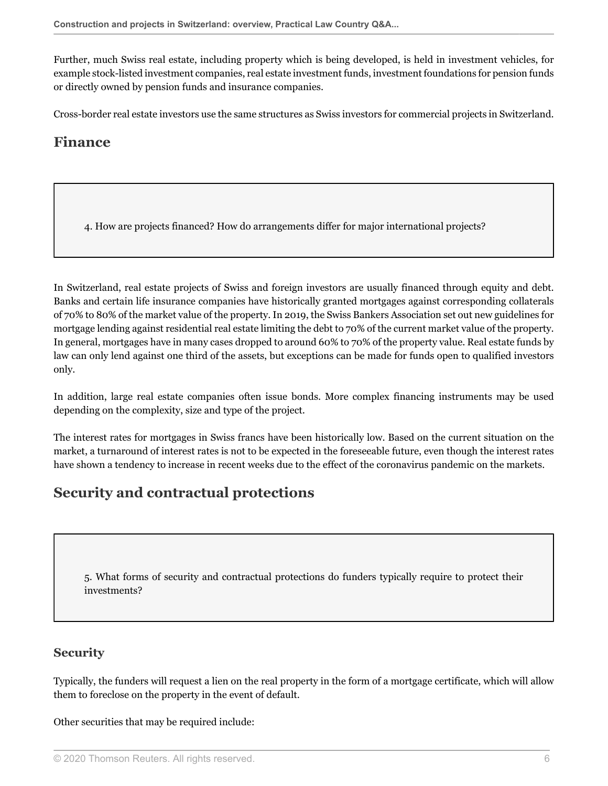Further, much Swiss real estate, including property which is being developed, is held in investment vehicles, for example stock-listed investment companies, real estate investment funds, investment foundations for pension funds or directly owned by pension funds and insurance companies.

<span id="page-5-0"></span>Cross-border real estate investors use the same structures as Swiss investors for commercial projects in Switzerland.

## **Finance**

4. How are projects financed? How do arrangements differ for major international projects?

In Switzerland, real estate projects of Swiss and foreign investors are usually financed through equity and debt. Banks and certain life insurance companies have historically granted mortgages against corresponding collaterals of 70% to 80% of the market value of the property. In 2019, the Swiss Bankers Association set out new guidelines for mortgage lending against residential real estate limiting the debt to 70% of the current market value of the property. In general, mortgages have in many cases dropped to around 60% to 70% of the property value. Real estate funds by law can only lend against one third of the assets, but exceptions can be made for funds open to qualified investors only.

In addition, large real estate companies often issue bonds. More complex financing instruments may be used depending on the complexity, size and type of the project.

The interest rates for mortgages in Swiss francs have been historically low. Based on the current situation on the market, a turnaround of interest rates is not to be expected in the foreseeable future, even though the interest rates have shown a tendency to increase in recent weeks due to the effect of the coronavirus pandemic on the markets.

## <span id="page-5-1"></span>**Security and contractual protections**

5. What forms of security and contractual protections do funders typically require to protect their investments?

## **Security**

Typically, the funders will request a lien on the real property in the form of a mortgage certificate, which will allow them to foreclose on the property in the event of default.

Other securities that may be required include: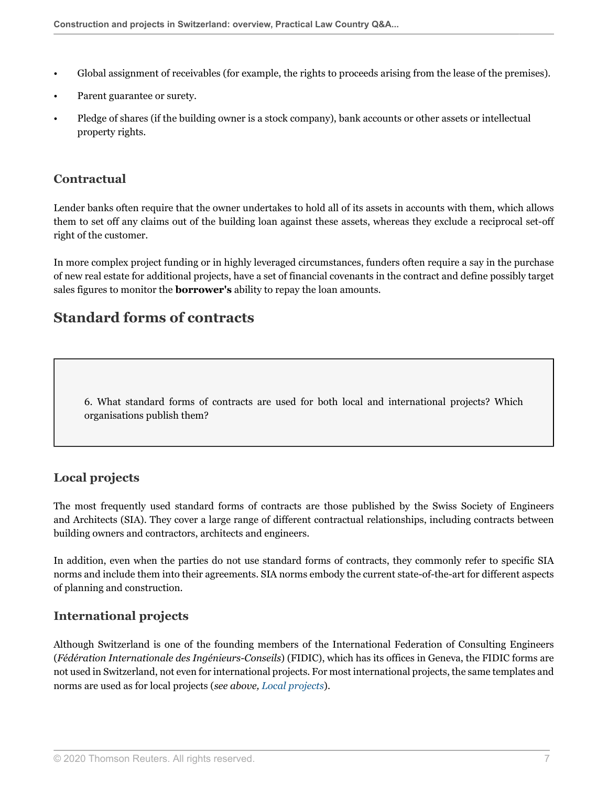- Global assignment of receivables (for example, the rights to proceeds arising from the lease of the premises).
- Parent guarantee or surety.
- Pledge of shares (if the building owner is a stock company), bank accounts or other assets or intellectual property rights.

## **Contractual**

Lender banks often require that the owner undertakes to hold all of its assets in accounts with them, which allows them to set off any claims out of the building loan against these assets, whereas they exclude a reciprocal set-off right of the customer.

In more complex project funding or in highly leveraged circumstances, funders often require a say in the purchase of new real estate for additional projects, have a set of financial covenants in the contract and define possibly target sales figures to monitor the **borrower's** ability to repay the loan amounts.

## <span id="page-6-0"></span>**Standard forms of contracts**

6. What standard forms of contracts are used for both local and international projects? Which organisations publish them?

## <span id="page-6-2"></span>**Local projects**

The most frequently used standard forms of contracts are those published by the Swiss Society of Engineers and Architects (SIA). They cover a large range of different contractual relationships, including contracts between building owners and contractors, architects and engineers.

In addition, even when the parties do not use standard forms of contracts, they commonly refer to specific SIA norms and include them into their agreements. SIA norms embody the current state-of-the-art for different aspects of planning and construction.

## **International projects**

<span id="page-6-1"></span>Although Switzerland is one of the founding members of the International Federation of Consulting Engineers (*Fédération Internationale des Ingénieurs-Conseils*) (FIDIC), which has its offices in Geneva, the FIDIC forms are not used in Switzerland, not even for international projects. For most international projects, the same templates and norms are used as for local projects (*see above, [Local projects](#page-6-2)*).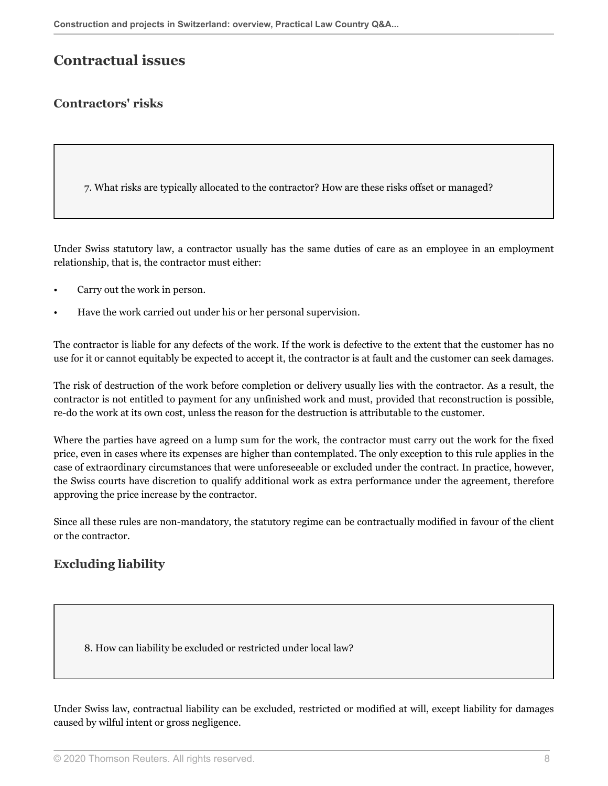## **Contractual issues**

## <span id="page-7-0"></span>**Contractors' risks**

7. What risks are typically allocated to the contractor? How are these risks offset or managed?

Under Swiss statutory law, a contractor usually has the same duties of care as an employee in an employment relationship, that is, the contractor must either:

- Carry out the work in person.
- Have the work carried out under his or her personal supervision.

The contractor is liable for any defects of the work. If the work is defective to the extent that the customer has no use for it or cannot equitably be expected to accept it, the contractor is at fault and the customer can seek damages.

The risk of destruction of the work before completion or delivery usually lies with the contractor. As a result, the contractor is not entitled to payment for any unfinished work and must, provided that reconstruction is possible, re-do the work at its own cost, unless the reason for the destruction is attributable to the customer.

Where the parties have agreed on a lump sum for the work, the contractor must carry out the work for the fixed price, even in cases where its expenses are higher than contemplated. The only exception to this rule applies in the case of extraordinary circumstances that were unforeseeable or excluded under the contract. In practice, however, the Swiss courts have discretion to qualify additional work as extra performance under the agreement, therefore approving the price increase by the contractor.

Since all these rules are non-mandatory, the statutory regime can be contractually modified in favour of the client or the contractor.

## <span id="page-7-1"></span>**Excluding liability**

<span id="page-7-2"></span>8. How can liability be excluded or restricted under local law?

Under Swiss law, contractual liability can be excluded, restricted or modified at will, except liability for damages caused by wilful intent or gross negligence.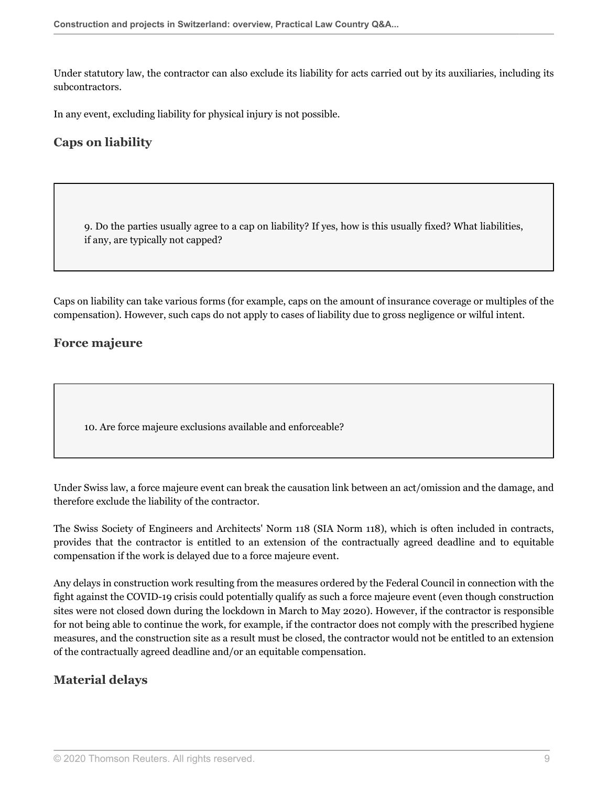Under statutory law, the contractor can also exclude its liability for acts carried out by its auxiliaries, including its subcontractors.

<span id="page-8-0"></span>In any event, excluding liability for physical injury is not possible.

## **Caps on liability**

9. Do the parties usually agree to a cap on liability? If yes, how is this usually fixed? What liabilities, if any, are typically not capped?

Caps on liability can take various forms (for example, caps on the amount of insurance coverage or multiples of the compensation). However, such caps do not apply to cases of liability due to gross negligence or wilful intent.

### <span id="page-8-1"></span>**Force majeure**

10. Are force majeure exclusions available and enforceable?

Under Swiss law, a force majeure event can break the causation link between an act/omission and the damage, and therefore exclude the liability of the contractor.

The Swiss Society of Engineers and Architects' Norm 118 (SIA Norm 118), which is often included in contracts, provides that the contractor is entitled to an extension of the contractually agreed deadline and to equitable compensation if the work is delayed due to a force majeure event.

Any delays in construction work resulting from the measures ordered by the Federal Council in connection with the fight against the COVID-19 crisis could potentially qualify as such a force majeure event (even though construction sites were not closed down during the lockdown in March to May 2020). However, if the contractor is responsible for not being able to continue the work, for example, if the contractor does not comply with the prescribed hygiene measures, and the construction site as a result must be closed, the contractor would not be entitled to an extension of the contractually agreed deadline and/or an equitable compensation.

## <span id="page-8-2"></span>**Material delays**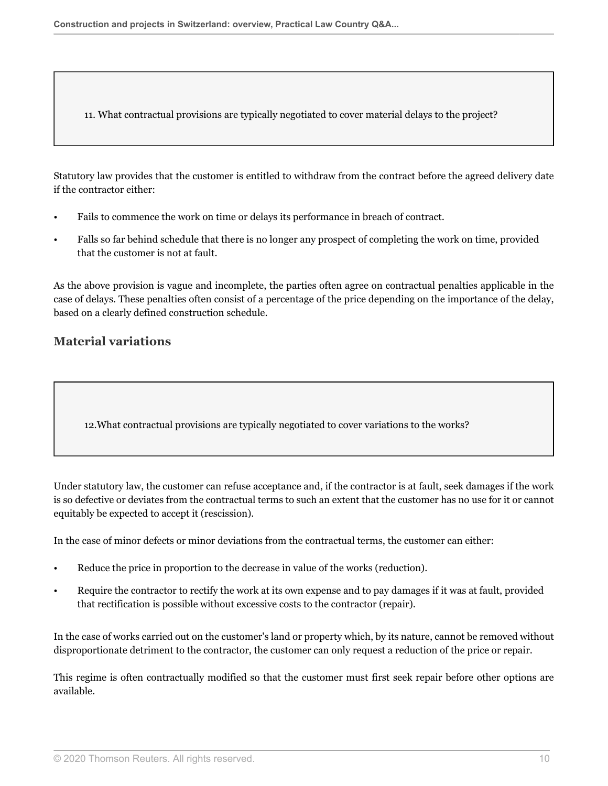11. What contractual provisions are typically negotiated to cover material delays to the project?

Statutory law provides that the customer is entitled to withdraw from the contract before the agreed delivery date if the contractor either:

- Fails to commence the work on time or delays its performance in breach of contract.
- Falls so far behind schedule that there is no longer any prospect of completing the work on time, provided that the customer is not at fault.

As the above provision is vague and incomplete, the parties often agree on contractual penalties applicable in the case of delays. These penalties often consist of a percentage of the price depending on the importance of the delay, based on a clearly defined construction schedule.

### <span id="page-9-0"></span>**Material variations**

12.What contractual provisions are typically negotiated to cover variations to the works?

Under statutory law, the customer can refuse acceptance and, if the contractor is at fault, seek damages if the work is so defective or deviates from the contractual terms to such an extent that the customer has no use for it or cannot equitably be expected to accept it (rescission).

In the case of minor defects or minor deviations from the contractual terms, the customer can either:

- Reduce the price in proportion to the decrease in value of the works (reduction).
- Require the contractor to rectify the work at its own expense and to pay damages if it was at fault, provided that rectification is possible without excessive costs to the contractor (repair).

In the case of works carried out on the customer's land or property which, by its nature, cannot be removed without disproportionate detriment to the contractor, the customer can only request a reduction of the price or repair.

This regime is often contractually modified so that the customer must first seek repair before other options are available.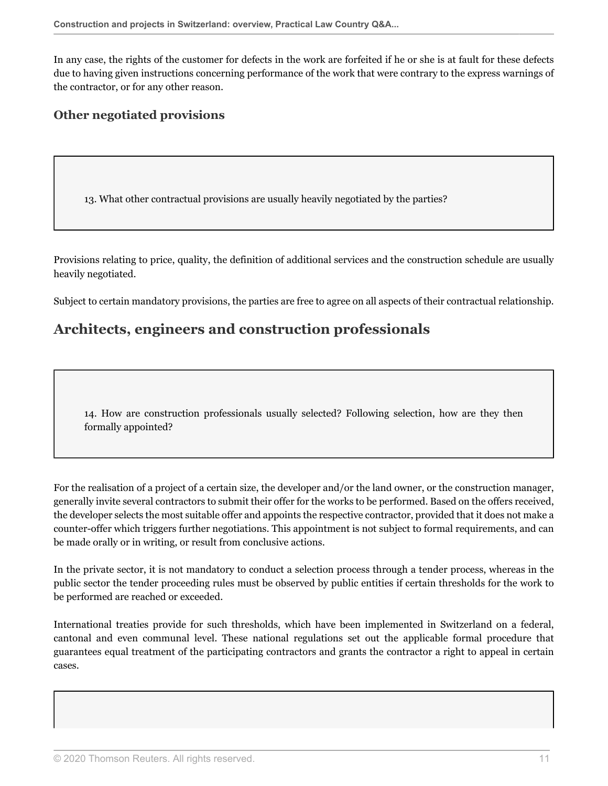In any case, the rights of the customer for defects in the work are forfeited if he or she is at fault for these defects due to having given instructions concerning performance of the work that were contrary to the express warnings of the contractor, or for any other reason.

### <span id="page-10-0"></span>**Other negotiated provisions**

<span id="page-10-2"></span>13. What other contractual provisions are usually heavily negotiated by the parties?

Provisions relating to price, quality, the definition of additional services and the construction schedule are usually heavily negotiated.

<span id="page-10-1"></span>Subject to certain mandatory provisions, the parties are free to agree on all aspects of their contractual relationship.

## **Architects, engineers and construction professionals**

14. How are construction professionals usually selected? Following selection, how are they then formally appointed?

For the realisation of a project of a certain size, the developer and/or the land owner, or the construction manager, generally invite several contractors to submit their offer for the works to be performed. Based on the offers received, the developer selects the most suitable offer and appoints the respective contractor, provided that it does not make a counter-offer which triggers further negotiations. This appointment is not subject to formal requirements, and can be made orally or in writing, or result from conclusive actions.

In the private sector, it is not mandatory to conduct a selection process through a tender process, whereas in the public sector the tender proceeding rules must be observed by public entities if certain thresholds for the work to be performed are reached or exceeded.

International treaties provide for such thresholds, which have been implemented in Switzerland on a federal, cantonal and even communal level. These national regulations set out the applicable formal procedure that guarantees equal treatment of the participating contractors and grants the contractor a right to appeal in certain cases.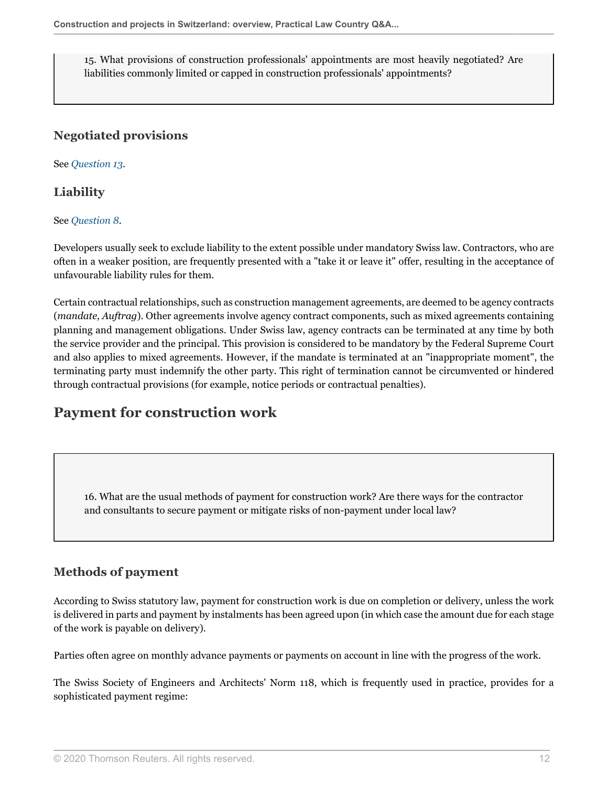15. What provisions of construction professionals' appointments are most heavily negotiated? Are liabilities commonly limited or capped in construction professionals' appointments?

## **Negotiated provisions**

See *[Question 13](#page-10-2)*.

## **Liability**

See *[Question 8](#page-7-2)*.

Developers usually seek to exclude liability to the extent possible under mandatory Swiss law. Contractors, who are often in a weaker position, are frequently presented with a "take it or leave it" offer, resulting in the acceptance of unfavourable liability rules for them.

Certain contractual relationships, such as construction management agreements, are deemed to be agency contracts (*mandate, Auftrag*). Other agreements involve agency contract components, such as mixed agreements containing planning and management obligations. Under Swiss law, agency contracts can be terminated at any time by both the service provider and the principal. This provision is considered to be mandatory by the Federal Supreme Court and also applies to mixed agreements. However, if the mandate is terminated at an "inappropriate moment", the terminating party must indemnify the other party. This right of termination cannot be circumvented or hindered through contractual provisions (for example, notice periods or contractual penalties).

## <span id="page-11-0"></span>**Payment for construction work**

16. What are the usual methods of payment for construction work? Are there ways for the contractor and consultants to secure payment or mitigate risks of non-payment under local law?

## **Methods of payment**

According to Swiss statutory law, payment for construction work is due on completion or delivery, unless the work is delivered in parts and payment by instalments has been agreed upon (in which case the amount due for each stage of the work is payable on delivery).

Parties often agree on monthly advance payments or payments on account in line with the progress of the work.

The Swiss Society of Engineers and Architects' Norm 118, which is frequently used in practice, provides for a sophisticated payment regime: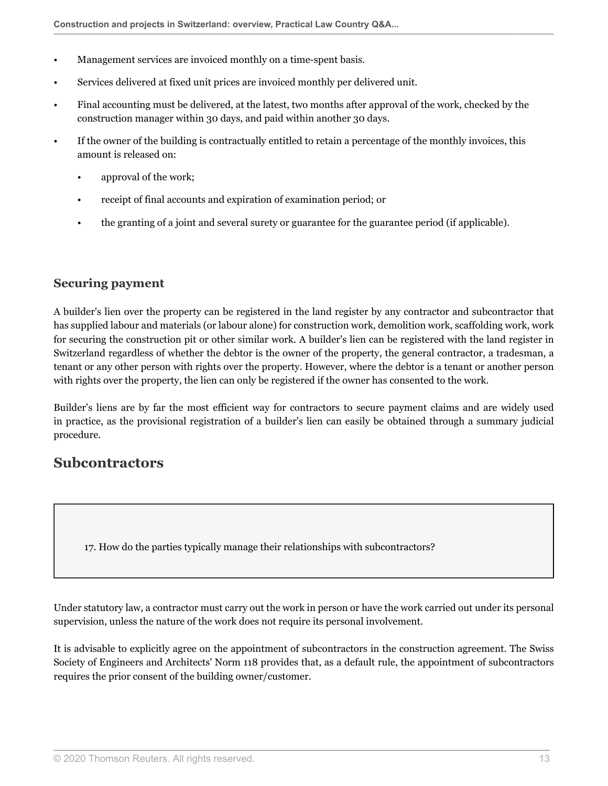- Management services are invoiced monthly on a time-spent basis.
- Services delivered at fixed unit prices are invoiced monthly per delivered unit.
- Final accounting must be delivered, at the latest, two months after approval of the work, checked by the construction manager within 30 days, and paid within another 30 days.
- If the owner of the building is contractually entitled to retain a percentage of the monthly invoices, this amount is released on:
	- approval of the work;
	- receipt of final accounts and expiration of examination period; or
	- the granting of a joint and several surety or guarantee for the guarantee period (if applicable).

#### **Securing payment**

A builder's lien over the property can be registered in the land register by any contractor and subcontractor that has supplied labour and materials (or labour alone) for construction work, demolition work, scaffolding work, work for securing the construction pit or other similar work. A builder's lien can be registered with the land register in Switzerland regardless of whether the debtor is the owner of the property, the general contractor, a tradesman, a tenant or any other person with rights over the property. However, where the debtor is a tenant or another person with rights over the property, the lien can only be registered if the owner has consented to the work.

Builder's liens are by far the most efficient way for contractors to secure payment claims and are widely used in practice, as the provisional registration of a builder's lien can easily be obtained through a summary judicial procedure.

## <span id="page-12-0"></span>**Subcontractors**

17. How do the parties typically manage their relationships with subcontractors?

Under statutory law, a contractor must carry out the work in person or have the work carried out under its personal supervision, unless the nature of the work does not require its personal involvement.

It is advisable to explicitly agree on the appointment of subcontractors in the construction agreement. The Swiss Society of Engineers and Architects' Norm 118 provides that, as a default rule, the appointment of subcontractors requires the prior consent of the building owner/customer.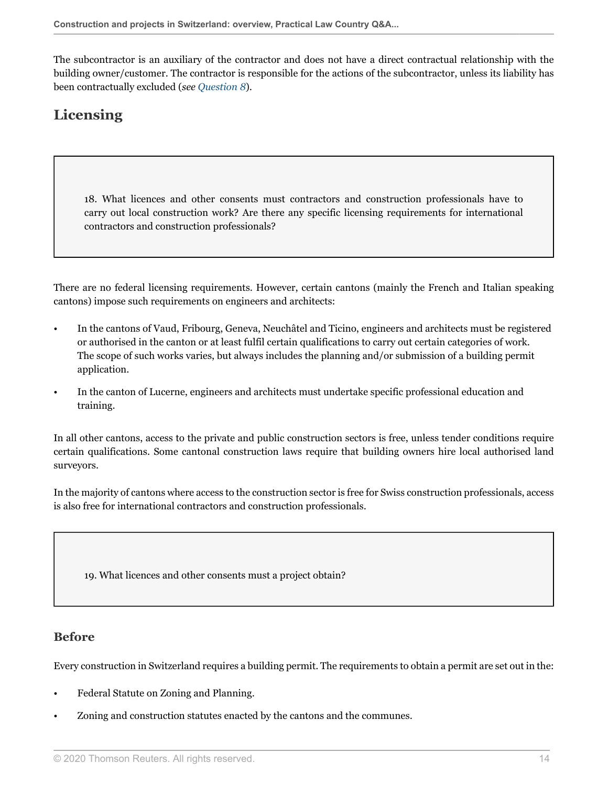The subcontractor is an auxiliary of the contractor and does not have a direct contractual relationship with the building owner/customer. The contractor is responsible for the actions of the subcontractor, unless its liability has been contractually excluded (*see [Question 8](#page-7-2)*).

## <span id="page-13-0"></span>**Licensing**

18. What licences and other consents must contractors and construction professionals have to carry out local construction work? Are there any specific licensing requirements for international contractors and construction professionals?

There are no federal licensing requirements. However, certain cantons (mainly the French and Italian speaking cantons) impose such requirements on engineers and architects:

- In the cantons of Vaud, Fribourg, Geneva, Neuchâtel and Ticino, engineers and architects must be registered or authorised in the canton or at least fulfil certain qualifications to carry out certain categories of work. The scope of such works varies, but always includes the planning and/or submission of a building permit application.
- In the canton of Lucerne, engineers and architects must undertake specific professional education and training.

In all other cantons, access to the private and public construction sectors is free, unless tender conditions require certain qualifications. Some cantonal construction laws require that building owners hire local authorised land surveyors.

In the majority of cantons where access to the construction sector is free for Swiss construction professionals, access is also free for international contractors and construction professionals.

19. What licences and other consents must a project obtain?

### **Before**

Every construction in Switzerland requires a building permit. The requirements to obtain a permit are set out in the:

- Federal Statute on Zoning and Planning.
- Zoning and construction statutes enacted by the cantons and the communes.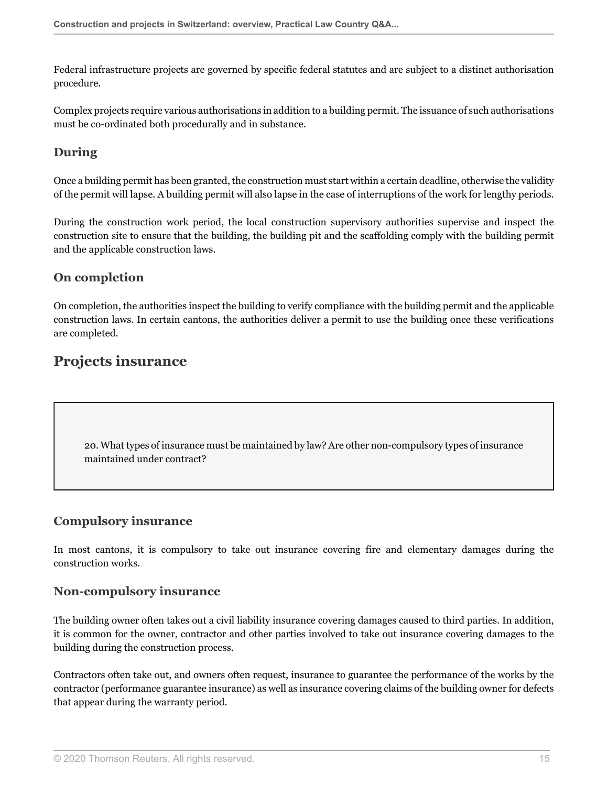Federal infrastructure projects are governed by specific federal statutes and are subject to a distinct authorisation procedure.

Complex projects require various authorisations in addition to a building permit. The issuance of such authorisations must be co-ordinated both procedurally and in substance.

## **During**

Once a building permit has been granted, the construction must start within a certain deadline, otherwise the validity of the permit will lapse. A building permit will also lapse in the case of interruptions of the work for lengthy periods.

During the construction work period, the local construction supervisory authorities supervise and inspect the construction site to ensure that the building, the building pit and the scaffolding comply with the building permit and the applicable construction laws.

## **On completion**

On completion, the authorities inspect the building to verify compliance with the building permit and the applicable construction laws. In certain cantons, the authorities deliver a permit to use the building once these verifications are completed.

## <span id="page-14-0"></span>**Projects insurance**

20. What types of insurance must be maintained by law? Are other non-compulsory types of insurance maintained under contract?

## **Compulsory insurance**

In most cantons, it is compulsory to take out insurance covering fire and elementary damages during the construction works.

### **Non-compulsory insurance**

The building owner often takes out a civil liability insurance covering damages caused to third parties. In addition, it is common for the owner, contractor and other parties involved to take out insurance covering damages to the building during the construction process.

<span id="page-14-1"></span>Contractors often take out, and owners often request, insurance to guarantee the performance of the works by the contractor (performance guarantee insurance) as well as insurance covering claims of the building owner for defects that appear during the warranty period.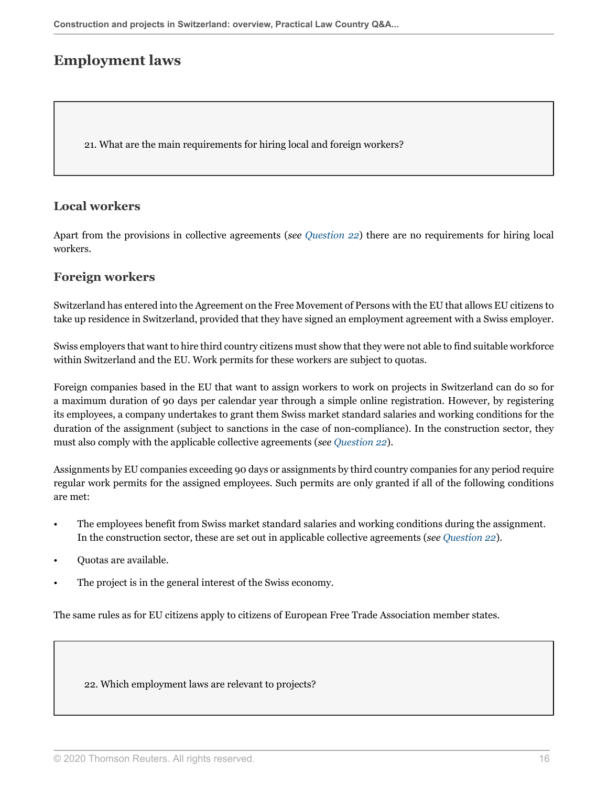## **Employment laws**

21. What are the main requirements for hiring local and foreign workers?

## **Local workers**

Apart from the provisions in collective agreements (*see [Question 22](#page-15-0)*) there are no requirements for hiring local workers.

## **Foreign workers**

Switzerland has entered into the Agreement on the Free Movement of Persons with the EU that allows EU citizens to take up residence in Switzerland, provided that they have signed an employment agreement with a Swiss employer.

Swiss employers that want to hire third country citizens must show that they were not able to find suitable workforce within Switzerland and the EU. Work permits for these workers are subject to quotas.

Foreign companies based in the EU that want to assign workers to work on projects in Switzerland can do so for a maximum duration of 90 days per calendar year through a simple online registration. However, by registering its employees, a company undertakes to grant them Swiss market standard salaries and working conditions for the duration of the assignment (subject to sanctions in the case of non-compliance). In the construction sector, they must also comply with the applicable collective agreements (*see [Question 22](#page-15-0)*).

Assignments by EU companies exceeding 90 days or assignments by third country companies for any period require regular work permits for the assigned employees. Such permits are only granted if all of the following conditions are met:

- The employees benefit from Swiss market standard salaries and working conditions during the assignment. In the construction sector, these are set out in applicable collective agreements (*see [Question 22](#page-15-0)*).
- Quotas are available.
- The project is in the general interest of the Swiss economy.

The same rules as for EU citizens apply to citizens of European Free Trade Association member states.

<span id="page-15-0"></span>22. Which employment laws are relevant to projects?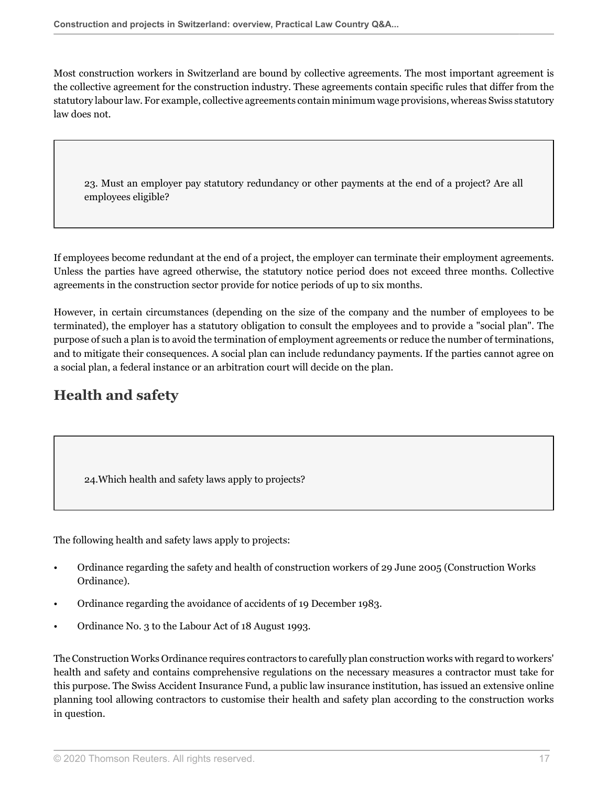Most construction workers in Switzerland are bound by collective agreements. The most important agreement is the collective agreement for the construction industry. These agreements contain specific rules that differ from the statutory labour law. For example, collective agreements contain minimum wage provisions, whereas Swiss statutory law does not.

23. Must an employer pay statutory redundancy or other payments at the end of a project? Are all employees eligible?

If employees become redundant at the end of a project, the employer can terminate their employment agreements. Unless the parties have agreed otherwise, the statutory notice period does not exceed three months. Collective agreements in the construction sector provide for notice periods of up to six months.

However, in certain circumstances (depending on the size of the company and the number of employees to be terminated), the employer has a statutory obligation to consult the employees and to provide a "social plan". The purpose of such a plan is to avoid the termination of employment agreements or reduce the number of terminations, and to mitigate their consequences. A social plan can include redundancy payments. If the parties cannot agree on a social plan, a federal instance or an arbitration court will decide on the plan.

## <span id="page-16-0"></span>**Health and safety**

24.Which health and safety laws apply to projects?

The following health and safety laws apply to projects:

- Ordinance regarding the safety and health of construction workers of 29 June 2005 (Construction Works Ordinance).
- Ordinance regarding the avoidance of accidents of 19 December 1983.
- Ordinance No. 3 to the Labour Act of 18 August 1993.

The Construction Works Ordinance requires contractors to carefully plan construction works with regard to workers' health and safety and contains comprehensive regulations on the necessary measures a contractor must take for this purpose. The Swiss Accident Insurance Fund, a public law insurance institution, has issued an extensive online planning tool allowing contractors to customise their health and safety plan according to the construction works in question.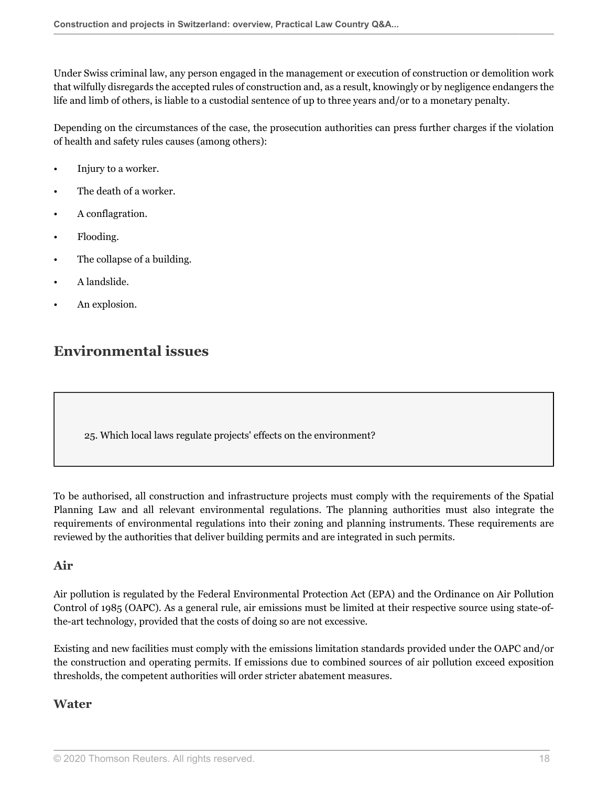Under Swiss criminal law, any person engaged in the management or execution of construction or demolition work that wilfully disregards the accepted rules of construction and, as a result, knowingly or by negligence endangers the life and limb of others, is liable to a custodial sentence of up to three years and/or to a monetary penalty.

Depending on the circumstances of the case, the prosecution authorities can press further charges if the violation of health and safety rules causes (among others):

- Injury to a worker.
- The death of a worker.
- A conflagration.
- Flooding.
- The collapse of a building.
- A landslide.
- An explosion.

## <span id="page-17-0"></span>**Environmental issues**

25. Which local laws regulate projects' effects on the environment?

To be authorised, all construction and infrastructure projects must comply with the requirements of the Spatial Planning Law and all relevant environmental regulations. The planning authorities must also integrate the requirements of environmental regulations into their zoning and planning instruments. These requirements are reviewed by the authorities that deliver building permits and are integrated in such permits.

#### **Air**

Air pollution is regulated by the Federal Environmental Protection Act (EPA) and the Ordinance on Air Pollution Control of 1985 (OAPC). As a general rule, air emissions must be limited at their respective source using state-ofthe-art technology, provided that the costs of doing so are not excessive.

Existing and new facilities must comply with the emissions limitation standards provided under the OAPC and/or the construction and operating permits. If emissions due to combined sources of air pollution exceed exposition thresholds, the competent authorities will order stricter abatement measures.

### **Water**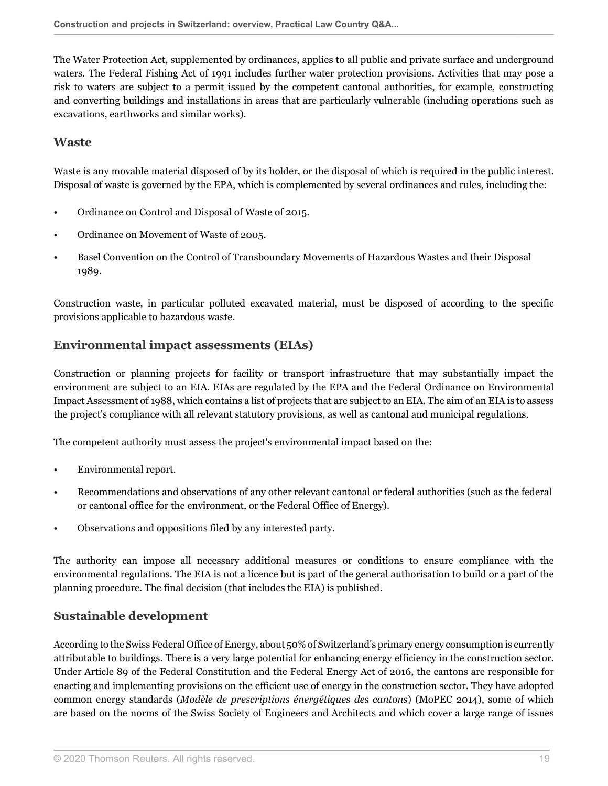The Water Protection Act, supplemented by ordinances, applies to all public and private surface and underground waters. The Federal Fishing Act of 1991 includes further water protection provisions. Activities that may pose a risk to waters are subject to a permit issued by the competent cantonal authorities, for example, constructing and converting buildings and installations in areas that are particularly vulnerable (including operations such as excavations, earthworks and similar works).

#### **Waste**

Waste is any movable material disposed of by its holder, or the disposal of which is required in the public interest. Disposal of waste is governed by the EPA, which is complemented by several ordinances and rules, including the:

- Ordinance on Control and Disposal of Waste of 2015.
- Ordinance on Movement of Waste of 2005.
- Basel Convention on the Control of Transboundary Movements of Hazardous Wastes and their Disposal 1989.

Construction waste, in particular polluted excavated material, must be disposed of according to the specific provisions applicable to hazardous waste.

### **Environmental impact assessments (EIAs)**

Construction or planning projects for facility or transport infrastructure that may substantially impact the environment are subject to an EIA. EIAs are regulated by the EPA and the Federal Ordinance on Environmental Impact Assessment of 1988, which contains a list of projects that are subject to an EIA. The aim of an EIA is to assess the project's compliance with all relevant statutory provisions, as well as cantonal and municipal regulations.

The competent authority must assess the project's environmental impact based on the:

- Environmental report.
- Recommendations and observations of any other relevant cantonal or federal authorities (such as the federal or cantonal office for the environment, or the Federal Office of Energy).
- Observations and oppositions filed by any interested party.

The authority can impose all necessary additional measures or conditions to ensure compliance with the environmental regulations. The EIA is not a licence but is part of the general authorisation to build or a part of the planning procedure. The final decision (that includes the EIA) is published.

## **Sustainable development**

According to the Swiss Federal Office of Energy, about 50% of Switzerland's primary energy consumption is currently attributable to buildings. There is a very large potential for enhancing energy efficiency in the construction sector. Under Article 89 of the Federal Constitution and the Federal Energy Act of 2016, the cantons are responsible for enacting and implementing provisions on the efficient use of energy in the construction sector. They have adopted common energy standards (*Modèle de prescriptions énergétiques des cantons*) (MoPEC 2014), some of which are based on the norms of the Swiss Society of Engineers and Architects and which cover a large range of issues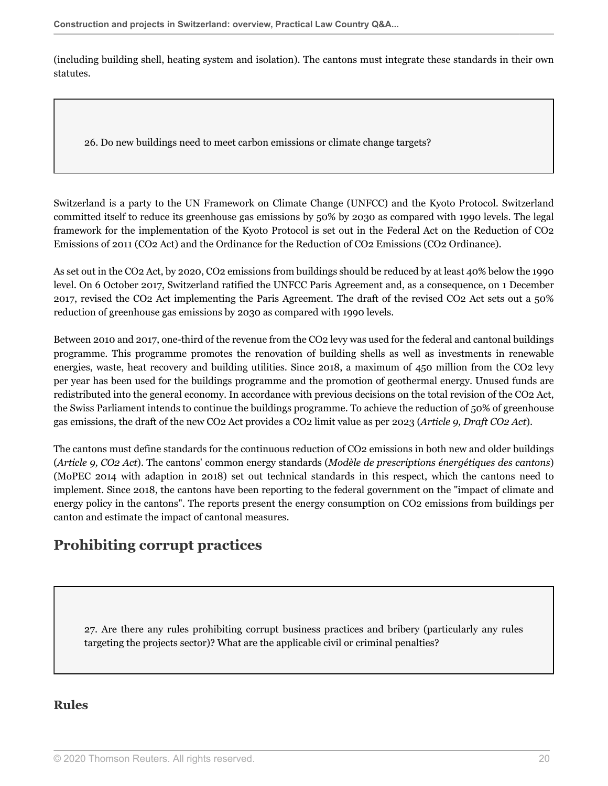(including building shell, heating system and isolation). The cantons must integrate these standards in their own statutes.

26. Do new buildings need to meet carbon emissions or climate change targets?

Switzerland is a party to the UN Framework on Climate Change (UNFCC) and the Kyoto Protocol. Switzerland committed itself to reduce its greenhouse gas emissions by 50% by 2030 as compared with 1990 levels. The legal framework for the implementation of the Kyoto Protocol is set out in the Federal Act on the Reduction of CO2 Emissions of 2011 (CO2 Act) and the Ordinance for the Reduction of CO2 Emissions (CO2 Ordinance).

As set out in the CO2 Act, by 2020, CO2 emissions from buildings should be reduced by at least 40% below the 1990 level. On 6 October 2017, Switzerland ratified the UNFCC Paris Agreement and, as a consequence, on 1 December 2017, revised the CO2 Act implementing the Paris Agreement. The draft of the revised CO2 Act sets out a 50% reduction of greenhouse gas emissions by 2030 as compared with 1990 levels.

Between 2010 and 2017, one-third of the revenue from the CO2 levy was used for the federal and cantonal buildings programme. This programme promotes the renovation of building shells as well as investments in renewable energies, waste, heat recovery and building utilities. Since 2018, a maximum of 450 million from the CO2 levy per year has been used for the buildings programme and the promotion of geothermal energy. Unused funds are redistributed into the general economy. In accordance with previous decisions on the total revision of the CO2 Act, the Swiss Parliament intends to continue the buildings programme. To achieve the reduction of 50% of greenhouse gas emissions, the draft of the new CO2 Act provides a CO2 limit value as per 2023 (*Article 9, Draft CO2 Act*).

The cantons must define standards for the continuous reduction of CO2 emissions in both new and older buildings (*Article 9, CO2 Act*). The cantons' common energy standards (*Modèle de prescriptions énergétiques des cantons*) (MoPEC 2014 with adaption in 2018) set out technical standards in this respect, which the cantons need to implement. Since 2018, the cantons have been reporting to the federal government on the "impact of climate and energy policy in the cantons". The reports present the energy consumption on CO2 emissions from buildings per canton and estimate the impact of cantonal measures.

## <span id="page-19-0"></span>**Prohibiting corrupt practices**

27. Are there any rules prohibiting corrupt business practices and bribery (particularly any rules targeting the projects sector)? What are the applicable civil or criminal penalties?

## **Rules**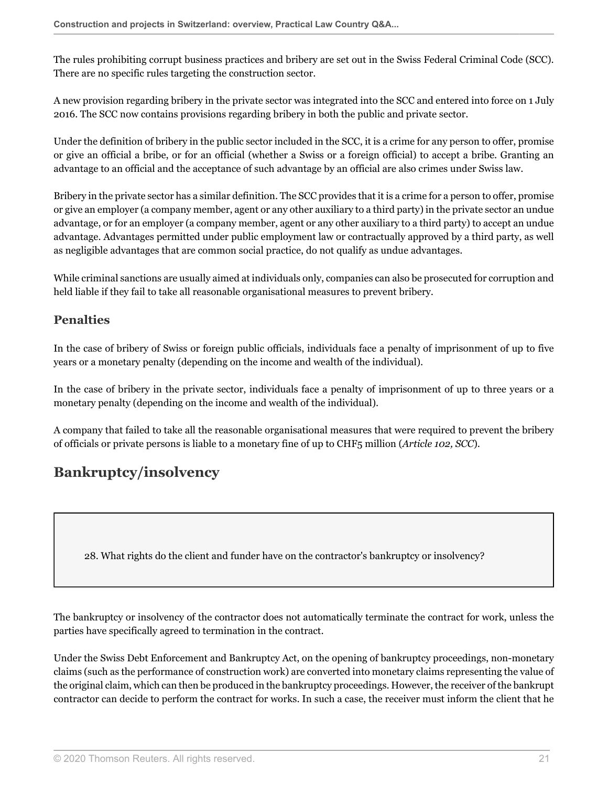The rules prohibiting corrupt business practices and bribery are set out in the Swiss Federal Criminal Code (SCC). There are no specific rules targeting the construction sector.

A new provision regarding bribery in the private sector was integrated into the SCC and entered into force on 1 July 2016. The SCC now contains provisions regarding bribery in both the public and private sector.

Under the definition of bribery in the public sector included in the SCC, it is a crime for any person to offer, promise or give an official a bribe, or for an official (whether a Swiss or a foreign official) to accept a bribe. Granting an advantage to an official and the acceptance of such advantage by an official are also crimes under Swiss law.

Bribery in the private sector has a similar definition. The SCC provides that it is a crime for a person to offer, promise or give an employer (a company member, agent or any other auxiliary to a third party) in the private sector an undue advantage, or for an employer (a company member, agent or any other auxiliary to a third party) to accept an undue advantage. Advantages permitted under public employment law or contractually approved by a third party, as well as negligible advantages that are common social practice, do not qualify as undue advantages.

While criminal sanctions are usually aimed at individuals only, companies can also be prosecuted for corruption and held liable if they fail to take all reasonable organisational measures to prevent bribery.

## **Penalties**

In the case of bribery of Swiss or foreign public officials, individuals face a penalty of imprisonment of up to five years or a monetary penalty (depending on the income and wealth of the individual).

In the case of bribery in the private sector, individuals face a penalty of imprisonment of up to three years or a monetary penalty (depending on the income and wealth of the individual).

A company that failed to take all the reasonable organisational measures that were required to prevent the bribery of officials or private persons is liable to a monetary fine of up to CHF5 million (*Article 102, SCC*).

## <span id="page-20-0"></span>**Bankruptcy/insolvency**

28. What rights do the client and funder have on the contractor's bankruptcy or insolvency?

The bankruptcy or insolvency of the contractor does not automatically terminate the contract for work, unless the parties have specifically agreed to termination in the contract.

Under the Swiss Debt Enforcement and Bankruptcy Act, on the opening of bankruptcy proceedings, non-monetary claims (such as the performance of construction work) are converted into monetary claims representing the value of the original claim, which can then be produced in the bankruptcy proceedings. However, the receiver of the bankrupt contractor can decide to perform the contract for works. In such a case, the receiver must inform the client that he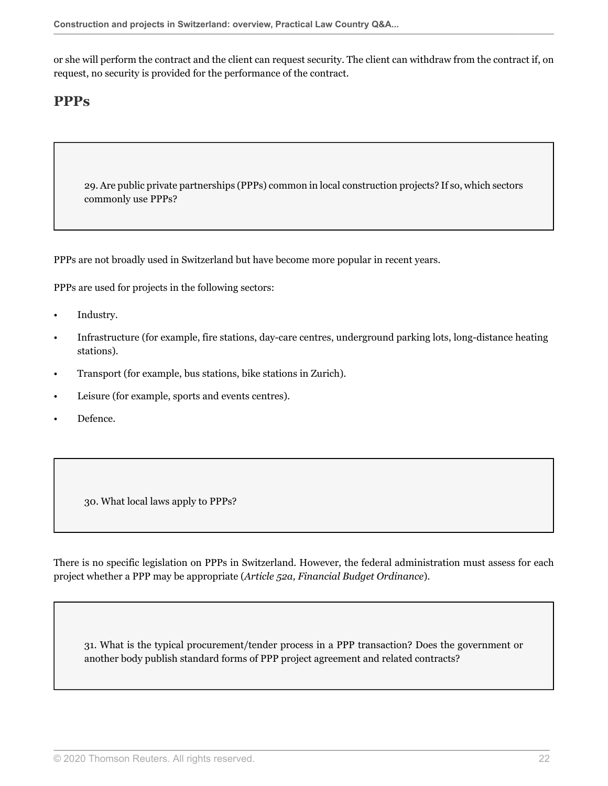or she will perform the contract and the client can request security. The client can withdraw from the contract if, on request, no security is provided for the performance of the contract.

## <span id="page-21-0"></span>**PPPs**

29. Are public private partnerships (PPPs) common in local construction projects? If so, which sectors commonly use PPPs?

PPPs are not broadly used in Switzerland but have become more popular in recent years.

PPPs are used for projects in the following sectors:

- Industry.
- Infrastructure (for example, fire stations, day-care centres, underground parking lots, long-distance heating stations).
- Transport (for example, bus stations, bike stations in Zurich).
- Leisure (for example, sports and events centres).
- Defence.

30. What local laws apply to PPPs?

There is no specific legislation on PPPs in Switzerland. However, the federal administration must assess for each project whether a PPP may be appropriate (*Article 52a, Financial Budget Ordinance*).

31. What is the typical procurement/tender process in a PPP transaction? Does the government or another body publish standard forms of PPP project agreement and related contracts?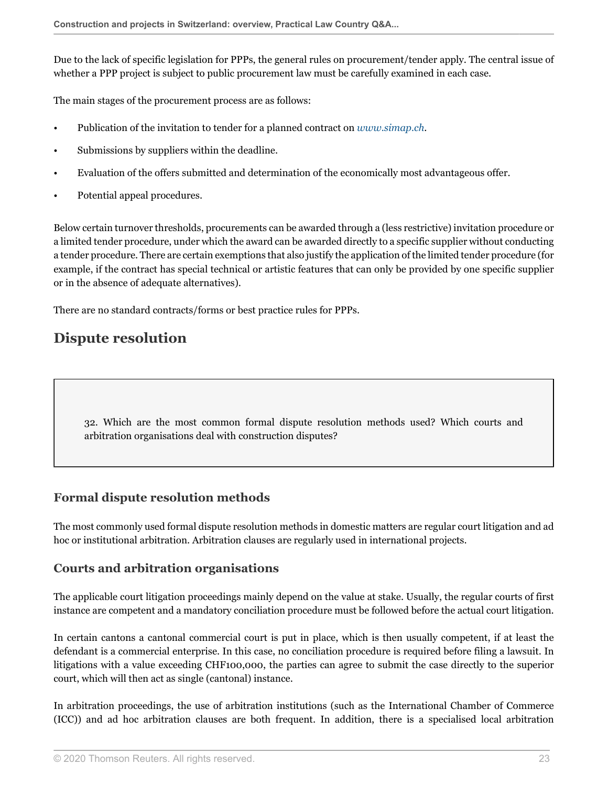Due to the lack of specific legislation for PPPs, the general rules on procurement/tender apply. The central issue of whether a PPP project is subject to public procurement law must be carefully examined in each case.

The main stages of the procurement process are as follows:

- Publication of the invitation to tender for a planned contract on *[www.simap.ch](http://www.simap.ch)*.
- Submissions by suppliers within the deadline.
- Evaluation of the offers submitted and determination of the economically most advantageous offer.
- Potential appeal procedures.

Below certain turnover thresholds, procurements can be awarded through a (less restrictive) invitation procedure or a limited tender procedure, under which the award can be awarded directly to a specific supplier without conducting a tender procedure. There are certain exemptions that also justify the application of the limited tender procedure (for example, if the contract has special technical or artistic features that can only be provided by one specific supplier or in the absence of adequate alternatives).

<span id="page-22-0"></span>There are no standard contracts/forms or best practice rules for PPPs.

## **Dispute resolution**

32. Which are the most common formal dispute resolution methods used? Which courts and arbitration organisations deal with construction disputes?

## **Formal dispute resolution methods**

The most commonly used formal dispute resolution methods in domestic matters are regular court litigation and ad hoc or institutional arbitration. Arbitration clauses are regularly used in international projects.

### **Courts and arbitration organisations**

The applicable court litigation proceedings mainly depend on the value at stake. Usually, the regular courts of first instance are competent and a mandatory conciliation procedure must be followed before the actual court litigation.

In certain cantons a cantonal commercial court is put in place, which is then usually competent, if at least the defendant is a commercial enterprise. In this case, no conciliation procedure is required before filing a lawsuit. In litigations with a value exceeding CHF100,000, the parties can agree to submit the case directly to the superior court, which will then act as single (cantonal) instance.

In arbitration proceedings, the use of arbitration institutions (such as the International Chamber of Commerce (ICC)) and ad hoc arbitration clauses are both frequent. In addition, there is a specialised local arbitration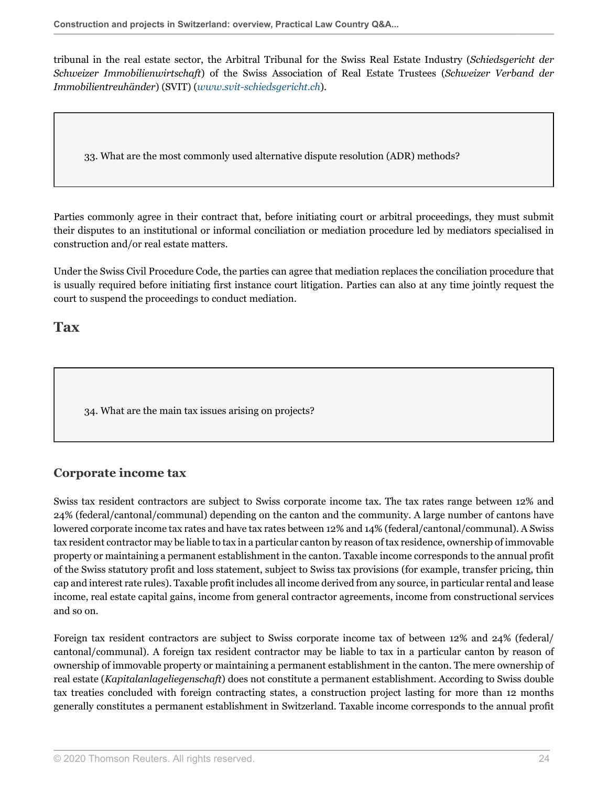tribunal in the real estate sector, the Arbitral Tribunal for the Swiss Real Estate Industry (*Schiedsgericht der Schweizer Immobilienwirtschaft*) of the Swiss Association of Real Estate Trustees (*Schweizer Verband der Immobilientreuhänder*) (SVIT) (*[www.svit-schiedsgericht.ch](http://www.svit-schiedsgericht.ch)*).

33. What are the most commonly used alternative dispute resolution (ADR) methods?

Parties commonly agree in their contract that, before initiating court or arbitral proceedings, they must submit their disputes to an institutional or informal conciliation or mediation procedure led by mediators specialised in construction and/or real estate matters.

Under the Swiss Civil Procedure Code, the parties can agree that mediation replaces the conciliation procedure that is usually required before initiating first instance court litigation. Parties can also at any time jointly request the court to suspend the proceedings to conduct mediation.

<span id="page-23-0"></span>**Tax**

<span id="page-23-1"></span>34. What are the main tax issues arising on projects?

## **Corporate income tax**

Swiss tax resident contractors are subject to Swiss corporate income tax. The tax rates range between 12% and 24% (federal/cantonal/communal) depending on the canton and the community. A large number of cantons have lowered corporate income tax rates and have tax rates between 12% and 14% (federal/cantonal/communal). A Swiss tax resident contractor may be liable to tax in a particular canton by reason of tax residence, ownership of immovable property or maintaining a permanent establishment in the canton. Taxable income corresponds to the annual profit of the Swiss statutory profit and loss statement, subject to Swiss tax provisions (for example, transfer pricing, thin cap and interest rate rules). Taxable profit includes all income derived from any source, in particular rental and lease income, real estate capital gains, income from general contractor agreements, income from constructional services and so on.

Foreign tax resident contractors are subject to Swiss corporate income tax of between 12% and 24% (federal/ cantonal/communal). A foreign tax resident contractor may be liable to tax in a particular canton by reason of ownership of immovable property or maintaining a permanent establishment in the canton. The mere ownership of real estate (*Kapitalanlageliegenschaft*) does not constitute a permanent establishment. According to Swiss double tax treaties concluded with foreign contracting states, a construction project lasting for more than 12 months generally constitutes a permanent establishment in Switzerland. Taxable income corresponds to the annual profit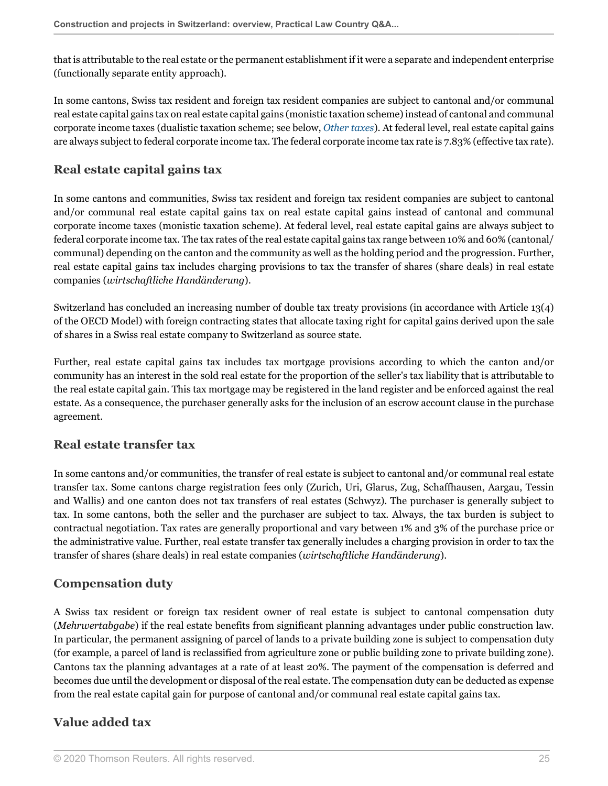that is attributable to the real estate or the permanent establishment if it were a separate and independent enterprise (functionally separate entity approach).

In some cantons, Swiss tax resident and foreign tax resident companies are subject to cantonal and/or communal real estate capital gains tax on real estate capital gains (monistic taxation scheme) instead of cantonal and communal corporate income taxes (dualistic taxation scheme; see below, *[Other taxes](#page-26-0)*). At federal level, real estate capital gains are always subject to federal corporate income tax. The federal corporate income tax rate is 7.83% (effective tax rate).

## **Real estate capital gains tax**

In some cantons and communities, Swiss tax resident and foreign tax resident companies are subject to cantonal and/or communal real estate capital gains tax on real estate capital gains instead of cantonal and communal corporate income taxes (monistic taxation scheme). At federal level, real estate capital gains are always subject to federal corporate income tax. The tax rates of the real estate capital gains tax range between 10% and 60% (cantonal/ communal) depending on the canton and the community as well as the holding period and the progression. Further, real estate capital gains tax includes charging provisions to tax the transfer of shares (share deals) in real estate companies (*wirtschaftliche Handänderung*).

Switzerland has concluded an increasing number of double tax treaty provisions (in accordance with Article 13(4) of the OECD Model) with foreign contracting states that allocate taxing right for capital gains derived upon the sale of shares in a Swiss real estate company to Switzerland as source state.

Further, real estate capital gains tax includes tax mortgage provisions according to which the canton and/or community has an interest in the sold real estate for the proportion of the seller's tax liability that is attributable to the real estate capital gain. This tax mortgage may be registered in the land register and be enforced against the real estate. As a consequence, the purchaser generally asks for the inclusion of an escrow account clause in the purchase agreement.

## **Real estate transfer tax**

In some cantons and/or communities, the transfer of real estate is subject to cantonal and/or communal real estate transfer tax. Some cantons charge registration fees only (Zurich, Uri, Glarus, Zug, Schaffhausen, Aargau, Tessin and Wallis) and one canton does not tax transfers of real estates (Schwyz). The purchaser is generally subject to tax. In some cantons, both the seller and the purchaser are subject to tax. Always, the tax burden is subject to contractual negotiation. Tax rates are generally proportional and vary between 1% and 3% of the purchase price or the administrative value. Further, real estate transfer tax generally includes a charging provision in order to tax the transfer of shares (share deals) in real estate companies (*wirtschaftliche Handänderung*).

## **Compensation duty**

A Swiss tax resident or foreign tax resident owner of real estate is subject to cantonal compensation duty (*Mehrwertabgabe*) if the real estate benefits from significant planning advantages under public construction law. In particular, the permanent assigning of parcel of lands to a private building zone is subject to compensation duty (for example, a parcel of land is reclassified from agriculture zone or public building zone to private building zone). Cantons tax the planning advantages at a rate of at least 20%. The payment of the compensation is deferred and becomes due until the development or disposal of the real estate. The compensation duty can be deducted as expense from the real estate capital gain for purpose of cantonal and/or communal real estate capital gains tax.

## **Value added tax**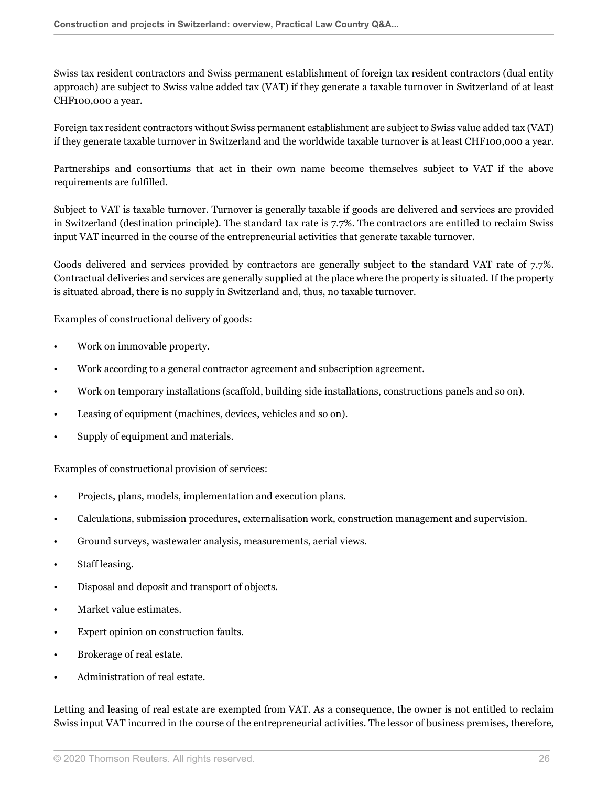Swiss tax resident contractors and Swiss permanent establishment of foreign tax resident contractors (dual entity approach) are subject to Swiss value added tax (VAT) if they generate a taxable turnover in Switzerland of at least CHF100,000 a year.

Foreign tax resident contractors without Swiss permanent establishment are subject to Swiss value added tax (VAT) if they generate taxable turnover in Switzerland and the worldwide taxable turnover is at least CHF100,000 a year.

Partnerships and consortiums that act in their own name become themselves subject to VAT if the above requirements are fulfilled.

Subject to VAT is taxable turnover. Turnover is generally taxable if goods are delivered and services are provided in Switzerland (destination principle). The standard tax rate is 7.7%. The contractors are entitled to reclaim Swiss input VAT incurred in the course of the entrepreneurial activities that generate taxable turnover.

Goods delivered and services provided by contractors are generally subject to the standard VAT rate of 7.7%. Contractual deliveries and services are generally supplied at the place where the property is situated. If the property is situated abroad, there is no supply in Switzerland and, thus, no taxable turnover.

Examples of constructional delivery of goods:

- Work on immovable property.
- Work according to a general contractor agreement and subscription agreement.
- Work on temporary installations (scaffold, building side installations, constructions panels and so on).
- Leasing of equipment (machines, devices, vehicles and so on).
- Supply of equipment and materials.

Examples of constructional provision of services:

- Projects, plans, models, implementation and execution plans.
- Calculations, submission procedures, externalisation work, construction management and supervision.
- Ground surveys, wastewater analysis, measurements, aerial views.
- Staff leasing.
- Disposal and deposit and transport of objects.
- Market value estimates.
- Expert opinion on construction faults.
- Brokerage of real estate.
- Administration of real estate.

Letting and leasing of real estate are exempted from VAT. As a consequence, the owner is not entitled to reclaim Swiss input VAT incurred in the course of the entrepreneurial activities. The lessor of business premises, therefore,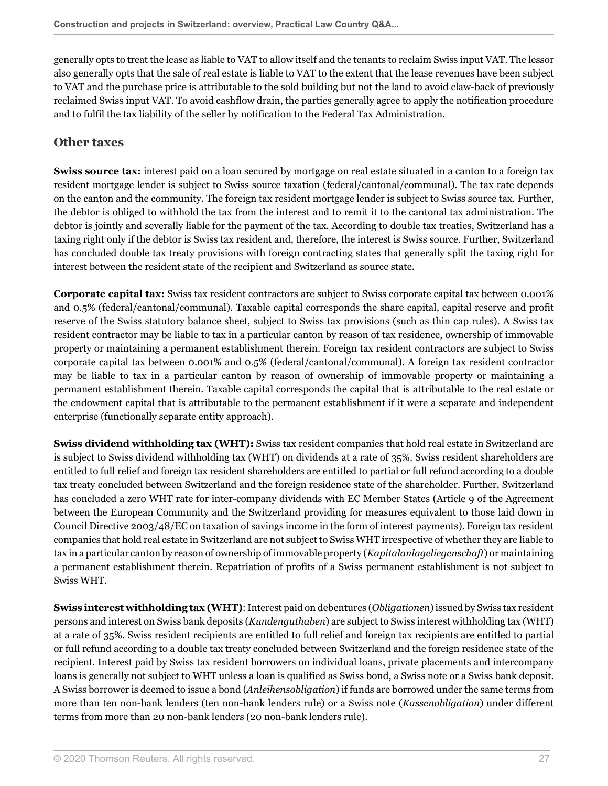generally opts to treat the lease as liable to VAT to allow itself and the tenants to reclaim Swiss input VAT. The lessor also generally opts that the sale of real estate is liable to VAT to the extent that the lease revenues have been subject to VAT and the purchase price is attributable to the sold building but not the land to avoid claw-back of previously reclaimed Swiss input VAT. To avoid cashflow drain, the parties generally agree to apply the notification procedure and to fulfil the tax liability of the seller by notification to the Federal Tax Administration.

## <span id="page-26-0"></span>**Other taxes**

**Swiss source tax:** interest paid on a loan secured by mortgage on real estate situated in a canton to a foreign tax resident mortgage lender is subject to Swiss source taxation (federal/cantonal/communal). The tax rate depends on the canton and the community. The foreign tax resident mortgage lender is subject to Swiss source tax. Further, the debtor is obliged to withhold the tax from the interest and to remit it to the cantonal tax administration. The debtor is jointly and severally liable for the payment of the tax. According to double tax treaties, Switzerland has a taxing right only if the debtor is Swiss tax resident and, therefore, the interest is Swiss source. Further, Switzerland has concluded double tax treaty provisions with foreign contracting states that generally split the taxing right for interest between the resident state of the recipient and Switzerland as source state.

**Corporate capital tax:** Swiss tax resident contractors are subject to Swiss corporate capital tax between 0.001% and 0.5% (federal/cantonal/communal). Taxable capital corresponds the share capital, capital reserve and profit reserve of the Swiss statutory balance sheet, subject to Swiss tax provisions (such as thin cap rules). A Swiss tax resident contractor may be liable to tax in a particular canton by reason of tax residence, ownership of immovable property or maintaining a permanent establishment therein. Foreign tax resident contractors are subject to Swiss corporate capital tax between 0.001% and 0.5% (federal/cantonal/communal). A foreign tax resident contractor may be liable to tax in a particular canton by reason of ownership of immovable property or maintaining a permanent establishment therein. Taxable capital corresponds the capital that is attributable to the real estate or the endowment capital that is attributable to the permanent establishment if it were a separate and independent enterprise (functionally separate entity approach).

**Swiss dividend withholding tax (WHT):** Swiss tax resident companies that hold real estate in Switzerland are is subject to Swiss dividend withholding tax (WHT) on dividends at a rate of 35%. Swiss resident shareholders are entitled to full relief and foreign tax resident shareholders are entitled to partial or full refund according to a double tax treaty concluded between Switzerland and the foreign residence state of the shareholder. Further, Switzerland has concluded a zero WHT rate for inter-company dividends with EC Member States (Article 9 of the Agreement between the European Community and the Switzerland providing for measures equivalent to those laid down in Council Directive 2003/48/EC on taxation of savings income in the form of interest payments). Foreign tax resident companies that hold real estate in Switzerland are not subject to Swiss WHT irrespective of whether they are liable to tax in a particular canton by reason of ownership of immovable property (*Kapitalanlageliegenschaft*) or maintaining a permanent establishment therein. Repatriation of profits of a Swiss permanent establishment is not subject to Swiss WHT.

**Swiss interest withholding tax (WHT)**: Interest paid on debentures (*Obligationen*) issued by Swiss tax resident persons and interest on Swiss bank deposits (*Kundenguthaben*) are subject to Swiss interest withholding tax (WHT) at a rate of 35%. Swiss resident recipients are entitled to full relief and foreign tax recipients are entitled to partial or full refund according to a double tax treaty concluded between Switzerland and the foreign residence state of the recipient. Interest paid by Swiss tax resident borrowers on individual loans, private placements and intercompany loans is generally not subject to WHT unless a loan is qualified as Swiss bond, a Swiss note or a Swiss bank deposit. A Swiss borrower is deemed to issue a bond (*Anleihensobligation*) if funds are borrowed under the same terms from more than ten non-bank lenders (ten non-bank lenders rule) or a Swiss note (*Kassenobligation*) under different terms from more than 20 non-bank lenders (20 non-bank lenders rule).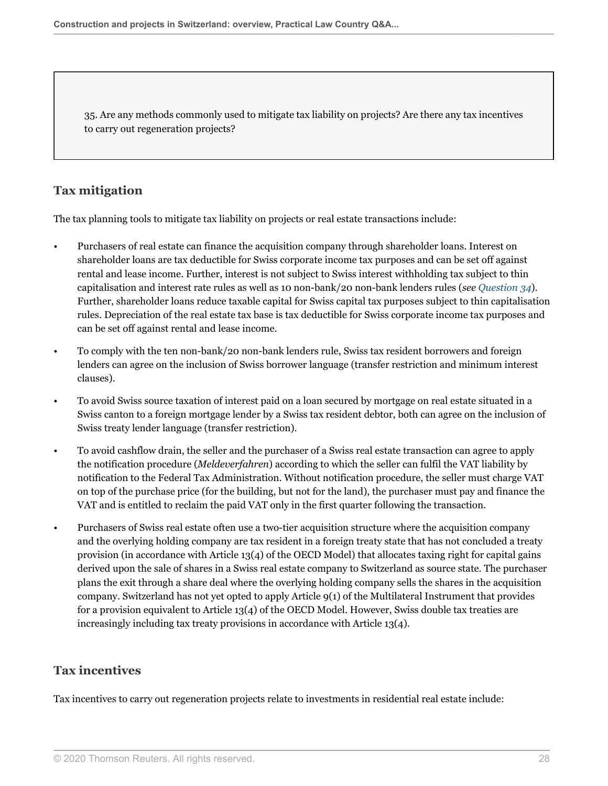35. Are any methods commonly used to mitigate tax liability on projects? Are there any tax incentives to carry out regeneration projects?

## **Tax mitigation**

The tax planning tools to mitigate tax liability on projects or real estate transactions include:

- Purchasers of real estate can finance the acquisition company through shareholder loans. Interest on shareholder loans are tax deductible for Swiss corporate income tax purposes and can be set off against rental and lease income. Further, interest is not subject to Swiss interest withholding tax subject to thin capitalisation and interest rate rules as well as 10 non-bank/20 non-bank lenders rules (*see [Question 34](#page-23-1)*). Further, shareholder loans reduce taxable capital for Swiss capital tax purposes subject to thin capitalisation rules. Depreciation of the real estate tax base is tax deductible for Swiss corporate income tax purposes and can be set off against rental and lease income.
- To comply with the ten non-bank/20 non-bank lenders rule, Swiss tax resident borrowers and foreign lenders can agree on the inclusion of Swiss borrower language (transfer restriction and minimum interest clauses).
- To avoid Swiss source taxation of interest paid on a loan secured by mortgage on real estate situated in a Swiss canton to a foreign mortgage lender by a Swiss tax resident debtor, both can agree on the inclusion of Swiss treaty lender language (transfer restriction).
- To avoid cashflow drain, the seller and the purchaser of a Swiss real estate transaction can agree to apply the notification procedure (*Meldeverfahren*) according to which the seller can fulfil the VAT liability by notification to the Federal Tax Administration. Without notification procedure, the seller must charge VAT on top of the purchase price (for the building, but not for the land), the purchaser must pay and finance the VAT and is entitled to reclaim the paid VAT only in the first quarter following the transaction.
- Purchasers of Swiss real estate often use a two-tier acquisition structure where the acquisition company and the overlying holding company are tax resident in a foreign treaty state that has not concluded a treaty provision (in accordance with Article 13(4) of the OECD Model) that allocates taxing right for capital gains derived upon the sale of shares in a Swiss real estate company to Switzerland as source state. The purchaser plans the exit through a share deal where the overlying holding company sells the shares in the acquisition company. Switzerland has not yet opted to apply Article 9(1) of the Multilateral Instrument that provides for a provision equivalent to Article 13(4) of the OECD Model. However, Swiss double tax treaties are increasingly including tax treaty provisions in accordance with Article 13(4).

## **Tax incentives**

Tax incentives to carry out regeneration projects relate to investments in residential real estate include: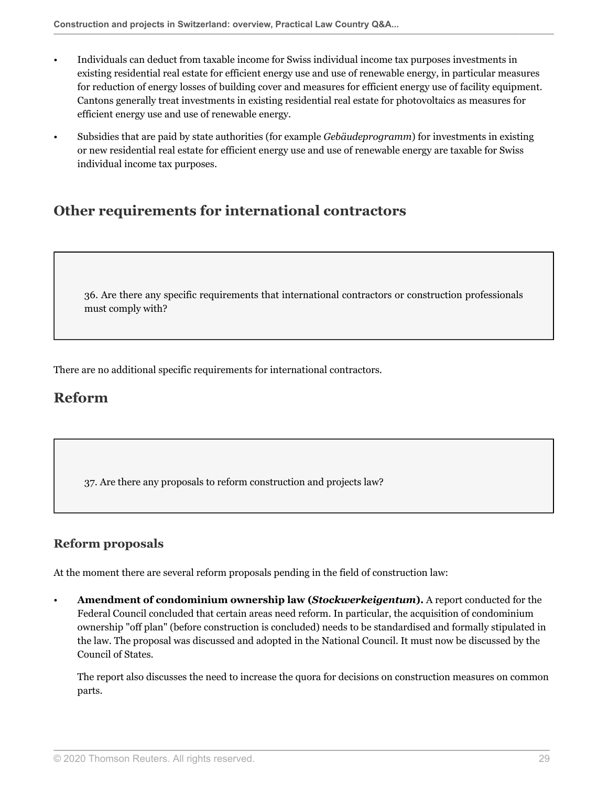- Individuals can deduct from taxable income for Swiss individual income tax purposes investments in existing residential real estate for efficient energy use and use of renewable energy, in particular measures for reduction of energy losses of building cover and measures for efficient energy use of facility equipment. Cantons generally treat investments in existing residential real estate for photovoltaics as measures for efficient energy use and use of renewable energy.
- Subsidies that are paid by state authorities (for example *Gebäudeprogramm*) for investments in existing or new residential real estate for efficient energy use and use of renewable energy are taxable for Swiss individual income tax purposes.

## <span id="page-28-0"></span>**Other requirements for international contractors**

36. Are there any specific requirements that international contractors or construction professionals must comply with?

<span id="page-28-1"></span>There are no additional specific requirements for international contractors.

## **Reform**

37. Are there any proposals to reform construction and projects law?

## **Reform proposals**

At the moment there are several reform proposals pending in the field of construction law:

• **Amendment of condominium ownership law (***Stockwerkeigentum***).** A report conducted for the Federal Council concluded that certain areas need reform. In particular, the acquisition of condominium ownership "off plan" (before construction is concluded) needs to be standardised and formally stipulated in the law. The proposal was discussed and adopted in the National Council. It must now be discussed by the Council of States.

The report also discusses the need to increase the quora for decisions on construction measures on common parts.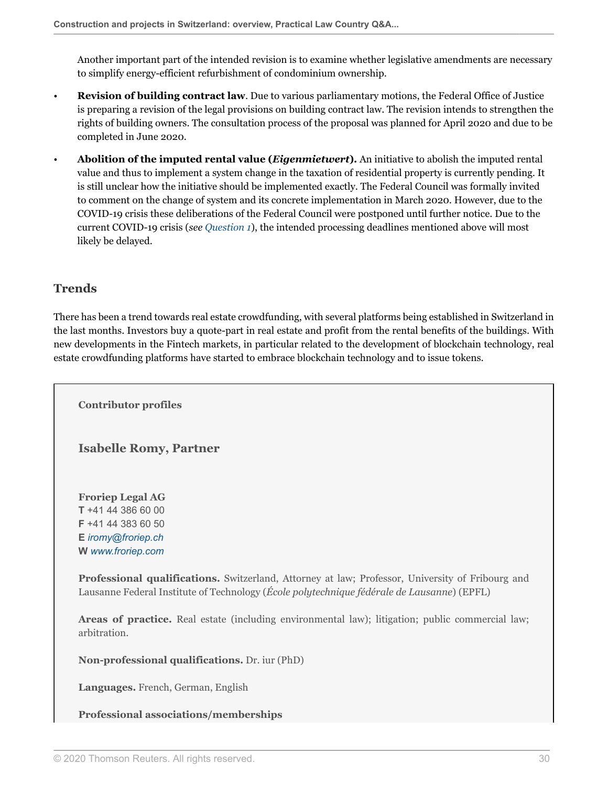Another important part of the intended revision is to examine whether legislative amendments are necessary to simplify energy-efficient refurbishment of condominium ownership.

- **Revision of building contract law**. Due to various parliamentary motions, the Federal Office of Justice is preparing a revision of the legal provisions on building contract law. The revision intends to strengthen the rights of building owners. The consultation process of the proposal was planned for April 2020 and due to be completed in June 2020.
- **Abolition of the imputed rental value (***Eigenmietwert***).** An initiative to abolish the imputed rental value and thus to implement a system change in the taxation of residential property is currently pending. It is still unclear how the initiative should be implemented exactly. The Federal Council was formally invited to comment on the change of system and its concrete implementation in March 2020. However, due to the COVID-19 crisis these deliberations of the Federal Council were postponed until further notice. Due to the current COVID-19 crisis (*see [Question 1](#page-1-1)*), the intended processing deadlines mentioned above will most likely be delayed.

## **Trends**

There has been a trend towards real estate crowdfunding, with several platforms being established in Switzerland in the last months. Investors buy a quote-part in real estate and profit from the rental benefits of the buildings. With new developments in the Fintech markets, in particular related to the development of blockchain technology, real estate crowdfunding platforms have started to embrace blockchain technology and to issue tokens.

<span id="page-29-0"></span>**Contributor profiles**

<span id="page-29-1"></span>**Isabelle Romy, Partner**

**Froriep Legal AG T** +41 44 386 60 00 **F** +41 44 383 60 50 **E** *[iromy@froriep.ch](mailto:iromy@froriep.ch)* **W** *[www.froriep.com](http://www.froriep.com)*

**Professional qualifications.** Switzerland, Attorney at law; Professor, University of Fribourg and Lausanne Federal Institute of Technology (*École polytechnique fédérale de Lausanne*) (EPFL)

**Areas of practice.** Real estate (including environmental law); litigation; public commercial law; arbitration.

**Non-professional qualifications.** Dr. iur (PhD)

**Languages.** French, German, English

**Professional associations/memberships**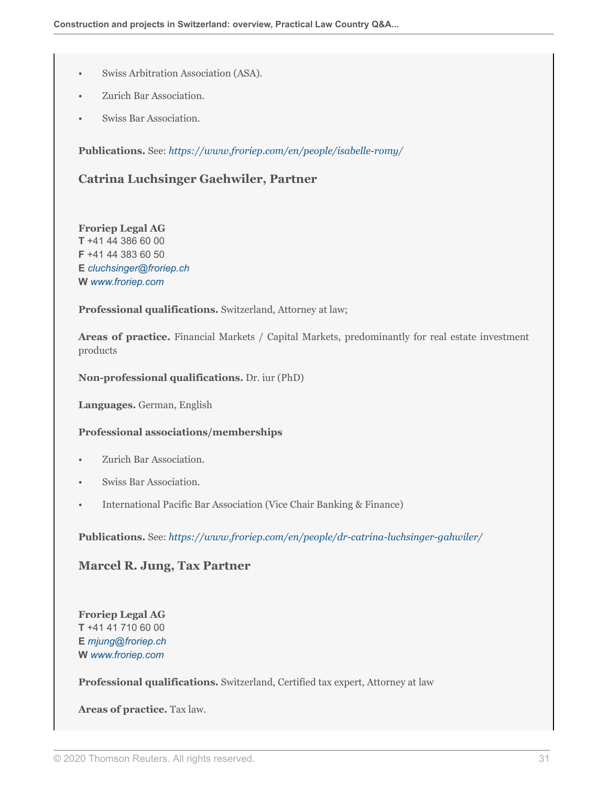- Swiss Arbitration Association (ASA).
- Zurich Bar Association.
- Swiss Bar Association.

<span id="page-30-0"></span>**Publications.** See: *[https://www.froriep.com/en/people/isabelle-romy/](https://www.froriep.com/en/people/isabelle-romy/ )*

## **Catrina Luchsinger Gaehwiler, Partner**

**Froriep Legal AG T** +41 44 386 60 00 **F** +41 44 383 60 50 **E** *[cluchsinger@froriep.ch](mailto:cluchsinger@froriep.ch)* **W** *[www.froriep.com](http://www.froriep.com)*

**Professional qualifications.** Switzerland, Attorney at law;

Areas of practice. Financial Markets / Capital Markets, predominantly for real estate investment products

**Non-professional qualifications.** Dr. iur (PhD)

**Languages.** German, English

#### **Professional associations/memberships**

- Zurich Bar Association.
- Swiss Bar Association.
- International Pacific Bar Association (Vice Chair Banking & Finance)

<span id="page-30-1"></span>**Publications.** See: *[https://www.froriep.com/en/people/dr-catrina-luchsinger-gahwiler/](https://www.froriep.com/en/people/dr-catrina-luchsinger-gahwiler/ )*

### **Marcel R. Jung, Tax Partner**

**Froriep Legal AG T** +41 41 710 60 00 **E** *[mjung@froriep.ch](mailto:mjung@froriep.ch)* **W** *[www.froriep.com](http://www.froriep.com)*

**Professional qualifications.** Switzerland, Certified tax expert, Attorney at law

**Areas of practice.** Tax law.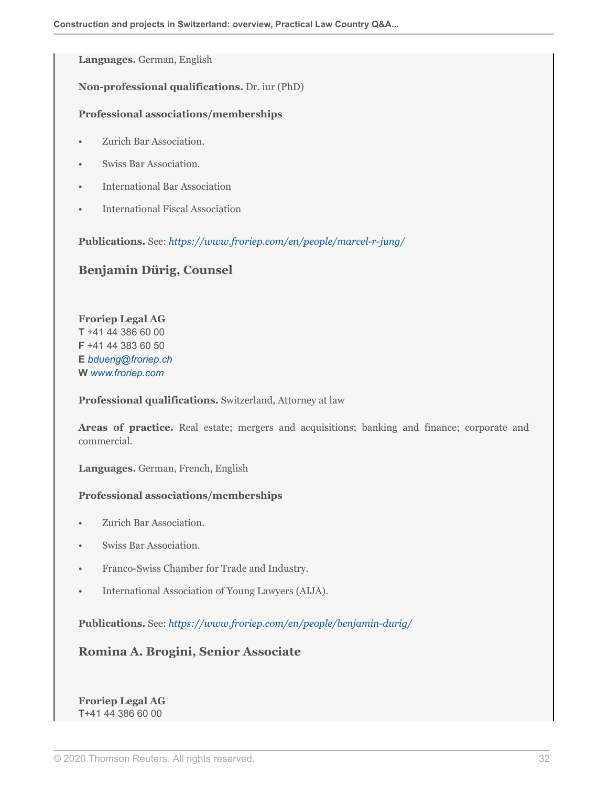**Languages.** German, English

**Non-professional qualifications.** Dr. iur (PhD)

#### **Professional associations/memberships**

- Zurich Bar Association.
- Swiss Bar Association.
- International Bar Association
- International Fiscal Association

<span id="page-31-0"></span>**Publications.** See: *[https://www.froriep.com/en/people/marcel-r-jung/](https://www.froriep.com/en/people/marcel-jung/ )*

### **Benjamin Dürig, Counsel**

**Froriep Legal AG T** +41 44 386 60 00 **F** +41 44 383 60 50 **E** *[bduerig@froriep.ch](mailto:bduerig@froriep.ch)* **W** *[www.froriep.com](http://www.froriep.com)*

**Professional qualifications.** Switzerland, Attorney at law

**Areas of practice.** Real estate; mergers and acquisitions; banking and finance; corporate and commercial.

**Languages.** German, French, English

#### **Professional associations/memberships**

- Zurich Bar Association.
- Swiss Bar Association.
- Franco-Swiss Chamber for Trade and Industry.
- International Association of Young Lawyers (AIJA).

<span id="page-31-1"></span>**Publications.** See: *[https://www.froriep.com/en/people/benjamin-durig/](https://www.froriep.com/en/people/benjamin-durig/ )*

**Romina A. Brogini, Senior Associate**

**Froriep Legal AG T**+41 44 386 60 00